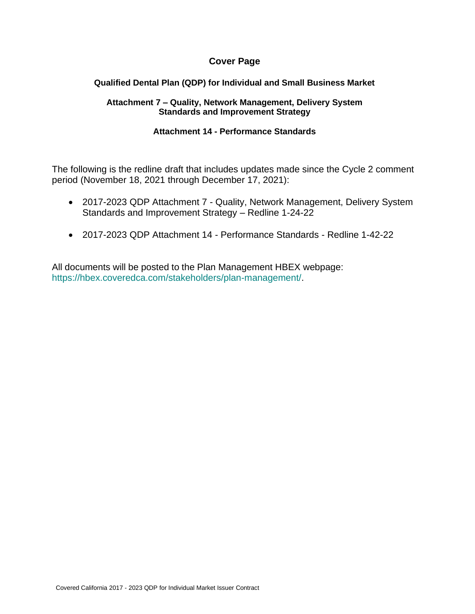### **Cover Page**

#### **Qualified Dental Plan (QDP) for Individual and Small Business Market**

#### **Attachment 7 – Quality, Network Management, Delivery System Standards and Improvement Strategy**

#### **Attachment 14 - Performance Standards**

The following is the redline draft that includes updates made since the Cycle 2 comment period (November 18, 2021 through December 17, 2021):

- 2017-2023 QDP Attachment 7 Quality, Network Management, Delivery System Standards and Improvement Strategy – Redline 1-24-22
- 2017-2023 QDP Attachment 14 Performance Standards Redline 1-42-22

All documents will be posted to the Plan Management HBEX webpage: https://hbex.coveredca.com/stakeholders/plan-management/.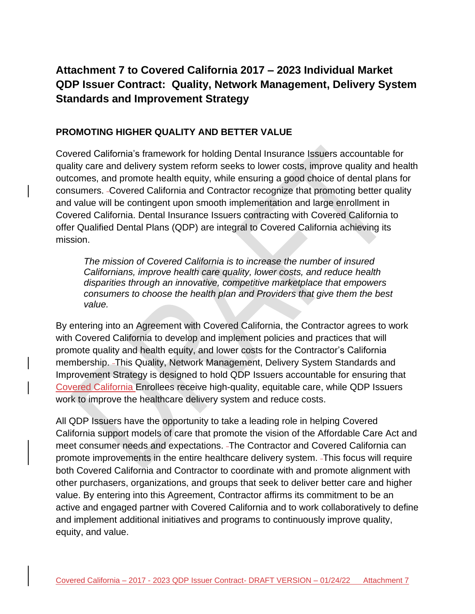# **Attachment 7 to Covered California 2017 – 2023 Individual Market QDP Issuer Contract: Quality, Network Management, Delivery System Standards and Improvement Strategy**

#### **PROMOTING HIGHER QUALITY AND BETTER VALUE**

Covered California's framework for holding Dental Insurance Issuers accountable for quality care and delivery system reform seeks to lower costs, improve quality and health outcomes, and promote health equity, while ensuring a good choice of dental plans for consumers. Covered California and Contractor recognize that promoting better quality and value will be contingent upon smooth implementation and large enrollment in Covered California. Dental Insurance Issuers contracting with Covered California to offer Qualified Dental Plans (QDP) are integral to Covered California achieving its mission.

*The mission of Covered California is to increase the number of insured Californians, improve health care quality, lower costs, and reduce health disparities through an innovative, competitive marketplace that empowers consumers to choose the health plan and Providers that give them the best value.*

By entering into an Agreement with Covered California, the Contractor agrees to work with Covered California to develop and implement policies and practices that will promote quality and health equity, and lower costs for the Contractor's California membership. This Quality, Network Management, Delivery System Standards and Improvement Strategy is designed to hold QDP Issuers accountable for ensuring that Covered California Enrollees receive high-quality, equitable care, while QDP Issuers work to improve the healthcare delivery system and reduce costs.

All QDP Issuers have the opportunity to take a leading role in helping Covered California support models of care that promote the vision of the Affordable Care Act and meet consumer needs and expectations. The Contractor and Covered California can promote improvements in the entire healthcare delivery system. This focus will require both Covered California and Contractor to coordinate with and promote alignment with other purchasers, organizations, and groups that seek to deliver better care and higher value. By entering into this Agreement, Contractor affirms its commitment to be an active and engaged partner with Covered California and to work collaboratively to define and implement additional initiatives and programs to continuously improve quality, equity, and value.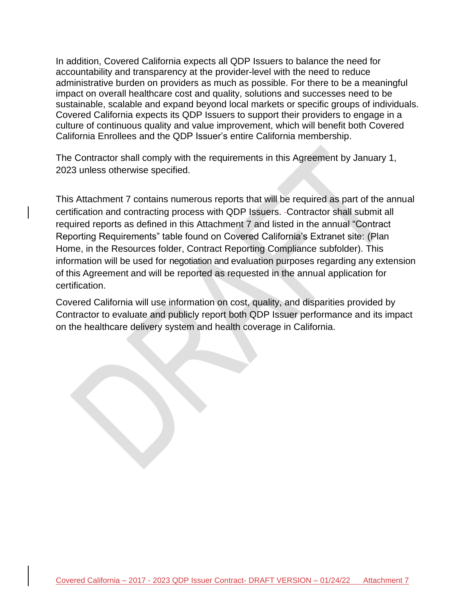In addition, Covered California expects all QDP Issuers to balance the need for accountability and transparency at the provider-level with the need to reduce administrative burden on providers as much as possible. For there to be a meaningful impact on overall healthcare cost and quality, solutions and successes need to be sustainable, scalable and expand beyond local markets or specific groups of individuals. Covered California expects its QDP Issuers to support their providers to engage in a culture of continuous quality and value improvement, which will benefit both Covered California Enrollees and the QDP Issuer's entire California membership.

The Contractor shall comply with the requirements in this Agreement by January 1, 2023 unless otherwise specified.

This Attachment 7 contains numerous reports that will be required as part of the annual certification and contracting process with QDP Issuers. Contractor shall submit all required reports as defined in this Attachment 7 and listed in the annual "Contract Reporting Requirements" table found on Covered California's Extranet site: (Plan Home, in the Resources folder, Contract Reporting Compliance subfolder). This information will be used for negotiation and evaluation purposes regarding any extension of this Agreement and will be reported as requested in the annual application for certification.

Covered California will use information on cost, quality, and disparities provided by Contractor to evaluate and publicly report both QDP Issuer performance and its impact on the healthcare delivery system and health coverage in California.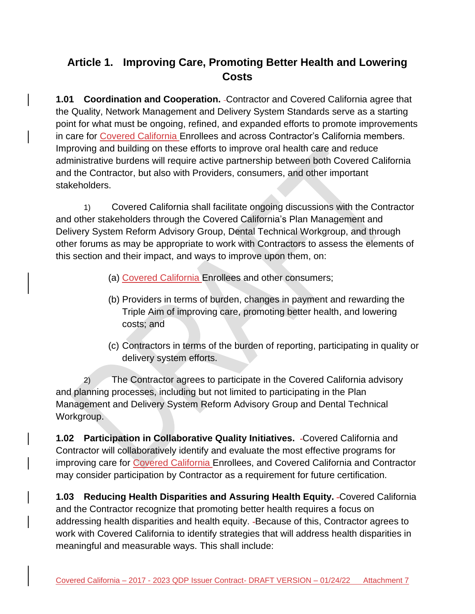# **Article 1. Improving Care, Promoting Better Health and Lowering Costs**

**1.01 Coordination and Cooperation.** Contractor and Covered California agree that the Quality, Network Management and Delivery System Standards serve as a starting point for what must be ongoing, refined, and expanded efforts to promote improvements in care for Covered California Enrollees and across Contractor's California members. Improving and building on these efforts to improve oral health care and reduce administrative burdens will require active partnership between both Covered California and the Contractor, but also with Providers, consumers, and other important stakeholders.

1) Covered California shall facilitate ongoing discussions with the Contractor and other stakeholders through the Covered California's Plan Management and Delivery System Reform Advisory Group, Dental Technical Workgroup, and through other forums as may be appropriate to work with Contractors to assess the elements of this section and their impact, and ways to improve upon them, on:

- (a) Covered California Enrollees and other consumers;
- (b) Providers in terms of burden, changes in payment and rewarding the Triple Aim of improving care, promoting better health, and lowering costs; and
- (c) Contractors in terms of the burden of reporting, participating in quality or delivery system efforts.

2) The Contractor agrees to participate in the Covered California advisory and planning processes, including but not limited to participating in the Plan Management and Delivery System Reform Advisory Group and Dental Technical Workgroup.

**1.02 Participation in Collaborative Quality Initiatives.** Covered California and Contractor will collaboratively identify and evaluate the most effective programs for improving care for Covered California Enrollees, and Covered California and Contractor may consider participation by Contractor as a requirement for future certification.

**1.03 Reducing Health Disparities and Assuring Health Equity.** Covered California and the Contractor recognize that promoting better health requires a focus on addressing health disparities and health equity. -Because of this, Contractor agrees to work with Covered California to identify strategies that will address health disparities in meaningful and measurable ways. This shall include: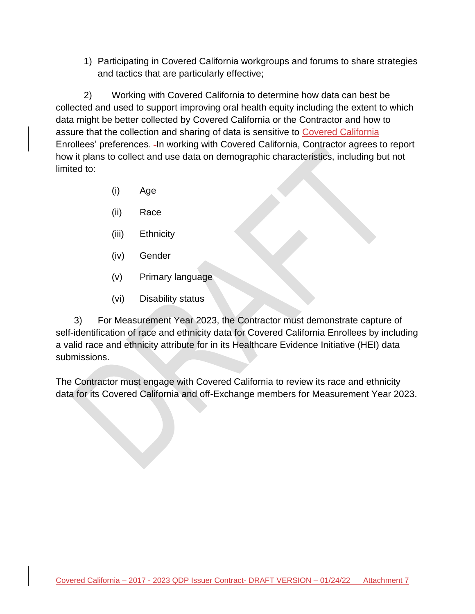1) Participating in Covered California workgroups and forums to share strategies and tactics that are particularly effective;

2) Working with Covered California to determine how data can best be collected and used to support improving oral health equity including the extent to which data might be better collected by Covered California or the Contractor and how to assure that the collection and sharing of data is sensitive to Covered California Enrollees' preferences. In working with Covered California, Contractor agrees to report how it plans to collect and use data on demographic characteristics, including but not limited to:

- (i) Age
- (ii) Race
- (iii) Ethnicity
- (iv) Gender
- (v) Primary language
- (vi) Disability status

 3) For Measurement Year 2023, the Contractor must demonstrate capture of self-identification of race and ethnicity data for Covered California Enrollees by including a valid race and ethnicity attribute for in its Healthcare Evidence Initiative (HEI) data submissions.

The Contractor must engage with Covered California to review its race and ethnicity data for its Covered California and off-Exchange members for Measurement Year 2023.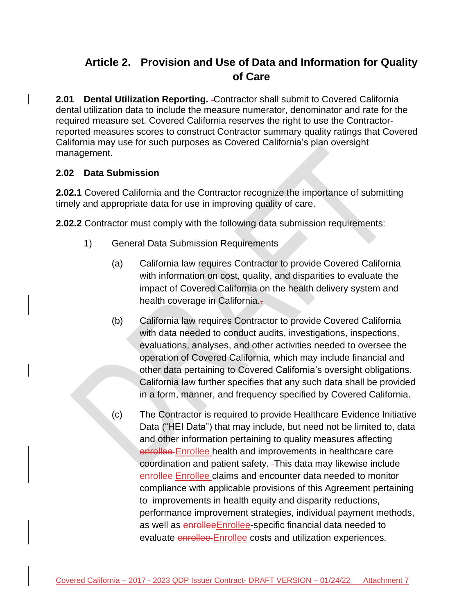# **Article 2. Provision and Use of Data and Information for Quality of Care**

**2.01 Dental Utilization Reporting.** -Contractor shall submit to Covered California dental utilization data to include the measure numerator, denominator and rate for the required measure set. Covered California reserves the right to use the Contractorreported measures scores to construct Contractor summary quality ratings that Covered California may use for such purposes as Covered California's plan oversight management.

## **2.02 Data Submission**

**2.02.1** Covered California and the Contractor recognize the importance of submitting timely and appropriate data for use in improving quality of care.

**2.02.2** Contractor must comply with the following data submission requirements:

- 1) General Data Submission Requirements
	- (a) California law requires Contractor to provide Covered California with information on cost, quality, and disparities to evaluate the impact of Covered California on the health delivery system and health coverage in California...
	- (b) California law requires Contractor to provide Covered California with data needed to conduct audits, investigations, inspections, evaluations, analyses, and other activities needed to oversee the operation of Covered California, which may include financial and other data pertaining to Covered California's oversight obligations. California law further specifies that any such data shall be provided in a form, manner, and frequency specified by Covered California.
	- (c) The Contractor is required to provide Healthcare Evidence Initiative Data ("HEI Data") that may include, but need not be limited to, data and other information pertaining to quality measures affecting enrollee Enrollee health and improvements in healthcare care coordination and patient safety. This data may likewise include enrollee Enrollee claims and encounter data needed to monitor compliance with applicable provisions of this Agreement pertaining to improvements in health equity and disparity reductions, performance improvement strategies, individual payment methods, as well as enrolleeEnrollee-specific financial data needed to evaluate enrollee-Enrollee costs and utilization experiences.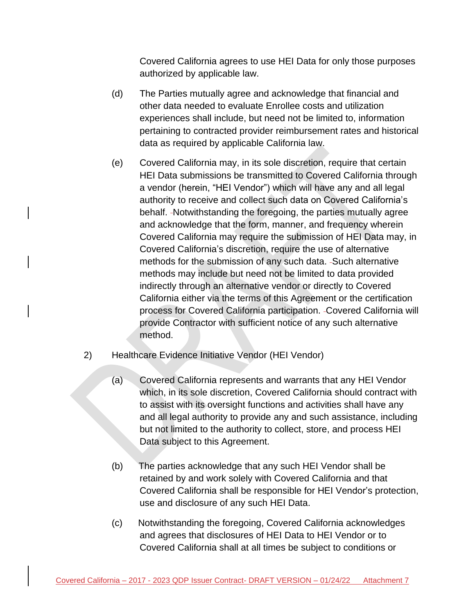Covered California agrees to use HEI Data for only those purposes authorized by applicable law.

- (d) The Parties mutually agree and acknowledge that financial and other data needed to evaluate Enrollee costs and utilization experiences shall include, but need not be limited to, information pertaining to contracted provider reimbursement rates and historical data as required by applicable California law.
- (e) Covered California may, in its sole discretion, require that certain HEI Data submissions be transmitted to Covered California through a vendor (herein, "HEI Vendor") which will have any and all legal authority to receive and collect such data on Covered California's behalf. Notwithstanding the foregoing, the parties mutually agree and acknowledge that the form, manner, and frequency wherein Covered California may require the submission of HEI Data may, in Covered California's discretion, require the use of alternative methods for the submission of any such data. -Such alternative methods may include but need not be limited to data provided indirectly through an alternative vendor or directly to Covered California either via the terms of this Agreement or the certification process for Covered California participation. Covered California will provide Contractor with sufficient notice of any such alternative method.
- 2) Healthcare Evidence Initiative Vendor (HEI Vendor)
	- (a) Covered California represents and warrants that any HEI Vendor which, in its sole discretion, Covered California should contract with to assist with its oversight functions and activities shall have any and all legal authority to provide any and such assistance, including but not limited to the authority to collect, store, and process HEI Data subject to this Agreement.
	- (b) The parties acknowledge that any such HEI Vendor shall be retained by and work solely with Covered California and that Covered California shall be responsible for HEI Vendor's protection, use and disclosure of any such HEI Data.
	- (c) Notwithstanding the foregoing, Covered California acknowledges and agrees that disclosures of HEI Data to HEI Vendor or to Covered California shall at all times be subject to conditions or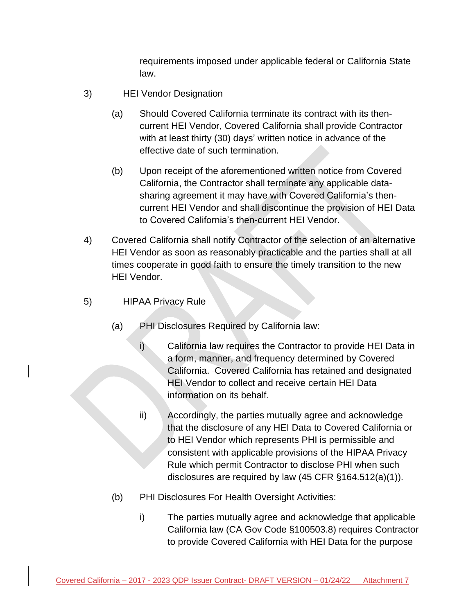requirements imposed under applicable federal or California State law.

- 3) HEI Vendor Designation
	- (a) Should Covered California terminate its contract with its thencurrent HEI Vendor, Covered California shall provide Contractor with at least thirty (30) days' written notice in advance of the effective date of such termination.
	- (b) Upon receipt of the aforementioned written notice from Covered California, the Contractor shall terminate any applicable datasharing agreement it may have with Covered California's thencurrent HEI Vendor and shall discontinue the provision of HEI Data to Covered California's then-current HEI Vendor.
- 4) Covered California shall notify Contractor of the selection of an alternative HEI Vendor as soon as reasonably practicable and the parties shall at all times cooperate in good faith to ensure the timely transition to the new HEI Vendor.
- 5) HIPAA Privacy Rule
	- (a) PHI Disclosures Required by California law:
		- i) California law requires the Contractor to provide HEI Data in a form, manner, and frequency determined by Covered California. Covered California has retained and designated HEI Vendor to collect and receive certain HEI Data information on its behalf.
		- ii) Accordingly, the parties mutually agree and acknowledge that the disclosure of any HEI Data to Covered California or to HEI Vendor which represents PHI is permissible and consistent with applicable provisions of the HIPAA Privacy Rule which permit Contractor to disclose PHI when such disclosures are required by law (45 CFR §164.512(a)(1)).
	- (b) PHI Disclosures For Health Oversight Activities:
		- i) The parties mutually agree and acknowledge that applicable California law (CA Gov Code §100503.8) requires Contractor to provide Covered California with HEI Data for the purpose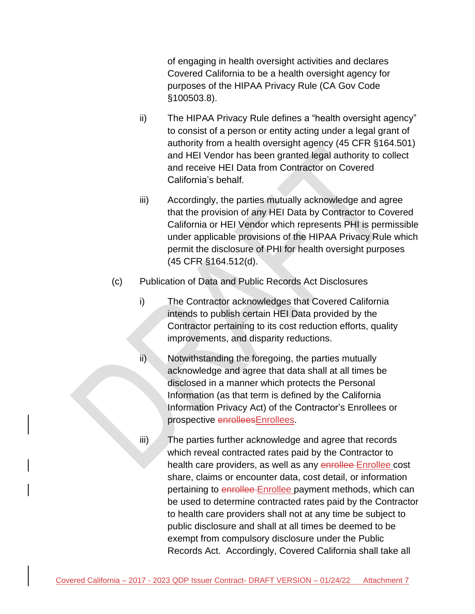of engaging in health oversight activities and declares Covered California to be a health oversight agency for purposes of the HIPAA Privacy Rule (CA Gov Code §100503.8).

- ii) The HIPAA Privacy Rule defines a "health oversight agency" to consist of a person or entity acting under a legal grant of authority from a health oversight agency (45 CFR §164.501) and HEI Vendor has been granted legal authority to collect and receive HEI Data from Contractor on Covered California's behalf.
- iii) Accordingly, the parties mutually acknowledge and agree that the provision of any HEI Data by Contractor to Covered California or HEI Vendor which represents PHI is permissible under applicable provisions of the HIPAA Privacy Rule which permit the disclosure of PHI for health oversight purposes (45 CFR §164.512(d).
- (c) Publication of Data and Public Records Act Disclosures
	- i) The Contractor acknowledges that Covered California intends to publish certain HEI Data provided by the Contractor pertaining to its cost reduction efforts, quality improvements, and disparity reductions.
	- ii) Notwithstanding the foregoing, the parties mutually acknowledge and agree that data shall at all times be disclosed in a manner which protects the Personal Information (as that term is defined by the California Information Privacy Act) of the Contractor's Enrollees or prospective enrolleesEnrollees.
	- iii) The parties further acknowledge and agree that records which reveal contracted rates paid by the Contractor to health care providers, as well as any enrollee Enrollee cost share, claims or encounter data, cost detail, or information pertaining to enrollee Enrollee payment methods, which can be used to determine contracted rates paid by the Contractor to health care providers shall not at any time be subject to public disclosure and shall at all times be deemed to be exempt from compulsory disclosure under the Public Records Act. Accordingly, Covered California shall take all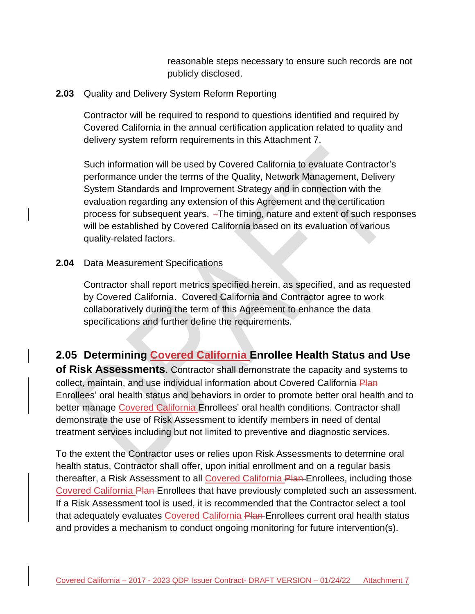reasonable steps necessary to ensure such records are not publicly disclosed.

#### **2.03** Quality and Delivery System Reform Reporting

Contractor will be required to respond to questions identified and required by Covered California in the annual certification application related to quality and delivery system reform requirements in this Attachment 7.

Such information will be used by Covered California to evaluate Contractor's performance under the terms of the Quality, Network Management, Delivery System Standards and Improvement Strategy and in connection with the evaluation regarding any extension of this Agreement and the certification process for subsequent years. The timing, nature and extent of such responses will be established by Covered California based on its evaluation of various quality-related factors.

### **2.04** Data Measurement Specifications

Contractor shall report metrics specified herein, as specified, and as requested by Covered California. Covered California and Contractor agree to work collaboratively during the term of this Agreement to enhance the data specifications and further define the requirements.

## **2.05 Determining Covered California Enrollee Health Status and Use**

**of Risk Assessments**. Contractor shall demonstrate the capacity and systems to collect, maintain, and use individual information about Covered California Plan Enrollees' oral health status and behaviors in order to promote better oral health and to better manage Covered California Enrollees' oral health conditions. Contractor shall demonstrate the use of Risk Assessment to identify members in need of dental treatment services including but not limited to preventive and diagnostic services.

To the extent the Contractor uses or relies upon Risk Assessments to determine oral health status, Contractor shall offer, upon initial enrollment and on a regular basis thereafter, a Risk Assessment to all Covered California Plan Enrollees, including those Covered California Plan Enrollees that have previously completed such an assessment. If a Risk Assessment tool is used, it is recommended that the Contractor select a tool that adequately evaluates Covered California Plan Enrollees current oral health status and provides a mechanism to conduct ongoing monitoring for future intervention(s).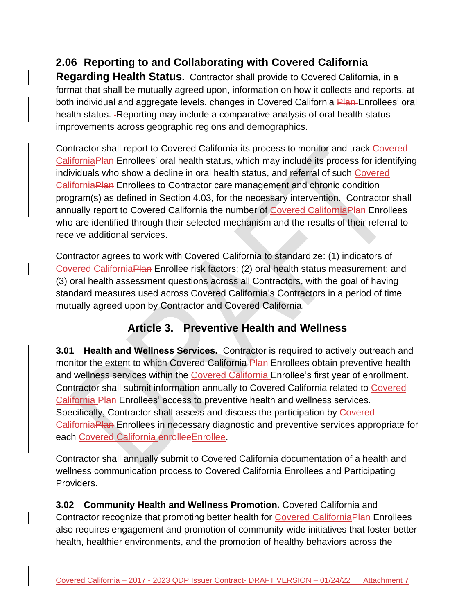# **2.06 Reporting to and Collaborating with Covered California**

**Regarding Health Status.** Contractor shall provide to Covered California, in a format that shall be mutually agreed upon, information on how it collects and reports, at both individual and aggregate levels, changes in Covered California Plan-Enrollees' oral health status. - Reporting may include a comparative analysis of oral health status improvements across geographic regions and demographics.

Contractor shall report to Covered California its process to monitor and track Covered CaliforniaPlan Enrollees' oral health status, which may include its process for identifying individuals who show a decline in oral health status, and referral of such Covered CaliforniaPlan Enrollees to Contractor care management and chronic condition program(s) as defined in Section 4.03, for the necessary intervention. Contractor shall annually report to Covered California the number of Covered CaliforniaPlan Enrollees who are identified through their selected mechanism and the results of their referral to receive additional services.

Contractor agrees to work with Covered California to standardize: (1) indicators of Covered CaliforniaPlan Enrollee risk factors; (2) oral health status measurement; and (3) oral health assessment questions across all Contractors, with the goal of having standard measures used across Covered California's Contractors in a period of time mutually agreed upon by Contractor and Covered California.

## **Article 3. Preventive Health and Wellness**

**3.01 • Health and Wellness Services.** - Contractor is required to actively outreach and monitor the extent to which Covered California Plan Enrollees obtain preventive health and wellness services within the Covered California Enrollee's first year of enrollment. Contractor shall submit information annually to Covered California related to Covered California Plan Enrollees' access to preventive health and wellness services. Specifically, Contractor shall assess and discuss the participation by Covered CaliforniaPlan Enrollees in necessary diagnostic and preventive services appropriate for each Covered California enrollee Enrollee.

Contractor shall annually submit to Covered California documentation of a health and wellness communication process to Covered California Enrollees and Participating Providers.

**3.02 Community Health and Wellness Promotion.** Covered California and Contractor recognize that promoting better health for Covered CaliforniaPlan Enrollees also requires engagement and promotion of community-wide initiatives that foster better health, healthier environments, and the promotion of healthy behaviors across the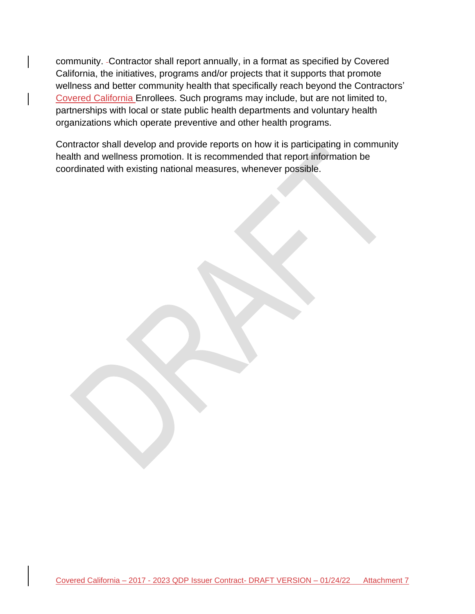community. Contractor shall report annually, in a format as specified by Covered California, the initiatives, programs and/or projects that it supports that promote wellness and better community health that specifically reach beyond the Contractors' Covered California Enrollees. Such programs may include, but are not limited to, partnerships with local or state public health departments and voluntary health organizations which operate preventive and other health programs.

Contractor shall develop and provide reports on how it is participating in community health and wellness promotion. It is recommended that report information be coordinated with existing national measures, whenever possible.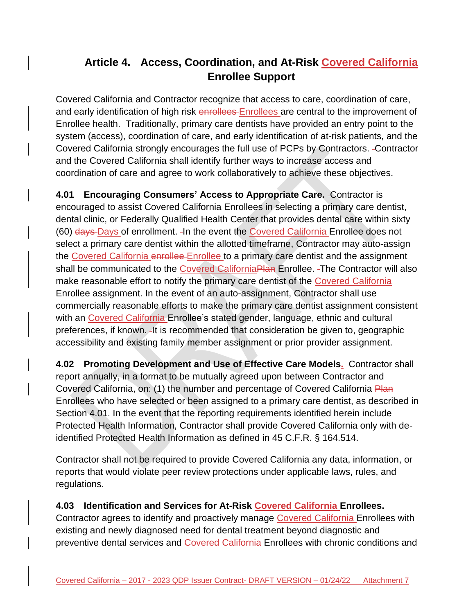# **Article 4. Access, Coordination, and At-Risk Covered California Enrollee Support**

Covered California and Contractor recognize that access to care, coordination of care, and early identification of high risk enrollees Enrollees are central to the improvement of Enrollee health. Traditionally, primary care dentists have provided an entry point to the system (access), coordination of care, and early identification of at-risk patients, and the Covered California strongly encourages the full use of PCPs by Contractors. Contractor and the Covered California shall identify further ways to increase access and coordination of care and agree to work collaboratively to achieve these objectives.

**4.01 Encouraging Consumers' Access to Appropriate Care.** Contractor is encouraged to assist Covered California Enrollees in selecting a primary care dentist, dental clinic, or Federally Qualified Health Center that provides dental care within sixty (60) days Days of enrollment. In the event the Covered California Enrollee does not select a primary care dentist within the allotted timeframe, Contractor may auto-assign the Covered California enrollee-Enrollee to a primary care dentist and the assignment shall be communicated to the Covered CaliforniaPlan Enrollee. - The Contractor will also make reasonable effort to notify the primary care dentist of the Covered California Enrollee assignment. In the event of an auto-assignment, Contractor shall use commercially reasonable efforts to make the primary care dentist assignment consistent with an Covered California Enrollee's stated gender, language, ethnic and cultural preferences, if known. - It is recommended that consideration be given to, geographic accessibility and existing family member assignment or prior provider assignment.

**4.02 Promoting Development and Use of Effective Care Models.** Contractor shall report annually, in a format to be mutually agreed upon between Contractor and Covered California, on: (1) the number and percentage of Covered California Plan Enrollees who have selected or been assigned to a primary care dentist, as described in Section 4.01. In the event that the reporting requirements identified herein include Protected Health Information, Contractor shall provide Covered California only with deidentified Protected Health Information as defined in 45 C.F.R. § 164.514.

Contractor shall not be required to provide Covered California any data, information, or reports that would violate peer review protections under applicable laws, rules, and regulations.

## **4.03 Identification and Services for At-Risk Covered California Enrollees.**

Contractor agrees to identify and proactively manage Covered California Enrollees with existing and newly diagnosed need for dental treatment beyond diagnostic and preventive dental services and Covered California Enrollees with chronic conditions and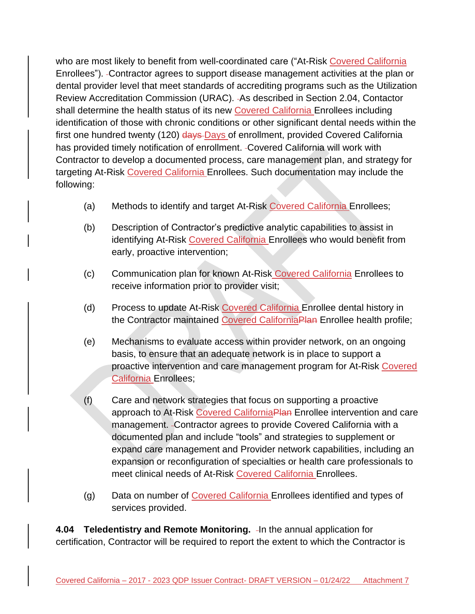who are most likely to benefit from well-coordinated care ("At-Risk Covered California Enrollees"). Contractor agrees to support disease management activities at the plan or dental provider level that meet standards of accrediting programs such as the Utilization Review Accreditation Commission (URAC). As described in Section 2.04, Contactor shall determine the health status of its new Covered California Enrollees including identification of those with chronic conditions or other significant dental needs within the first one hundred twenty (120) days Days of enrollment, provided Covered California has provided timely notification of enrollment. Covered California will work with Contractor to develop a documented process, care management plan, and strategy for targeting At-Risk Covered California Enrollees. Such documentation may include the following:

- (a) Methods to identify and target At-Risk Covered California Enrollees;
- (b) Description of Contractor's predictive analytic capabilities to assist in identifying At-Risk Covered California Enrollees who would benefit from early, proactive intervention;
- (c) Communication plan for known At-Risk Covered California Enrollees to receive information prior to provider visit;
- (d) Process to update At-Risk Covered California Enrollee dental history in the Contractor maintained Covered CaliforniaPlan Enrollee health profile;
- (e) Mechanisms to evaluate access within provider network, on an ongoing basis, to ensure that an adequate network is in place to support a proactive intervention and care management program for At-Risk Covered California Enrollees;
- (f) Care and network strategies that focus on supporting a proactive approach to At-Risk Covered California Plan Enrollee intervention and care management. Contractor agrees to provide Covered California with a documented plan and include "tools" and strategies to supplement or expand care management and Provider network capabilities, including an expansion or reconfiguration of specialties or health care professionals to meet clinical needs of At-Risk Covered California Enrollees.
- (g) Data on number of Covered California Enrollees identified and types of services provided.

**4.04 Teledentistry and Remote Monitoring.** In the annual application for certification, Contractor will be required to report the extent to which the Contractor is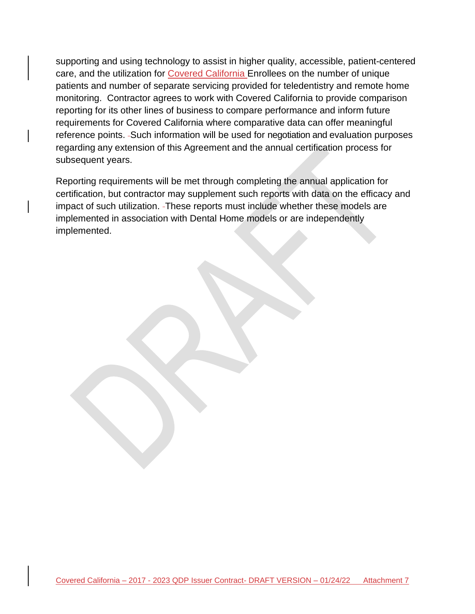supporting and using technology to assist in higher quality, accessible, patient-centered care, and the utilization for Covered California Enrollees on the number of unique patients and number of separate servicing provided for teledentistry and remote home monitoring. Contractor agrees to work with Covered California to provide comparison reporting for its other lines of business to compare performance and inform future requirements for Covered California where comparative data can offer meaningful reference points. - Such information will be used for negotiation and evaluation purposes regarding any extension of this Agreement and the annual certification process for subsequent years.

Reporting requirements will be met through completing the annual application for certification, but contractor may supplement such reports with data on the efficacy and impact of such utilization. These reports must include whether these models are implemented in association with Dental Home models or are independently implemented.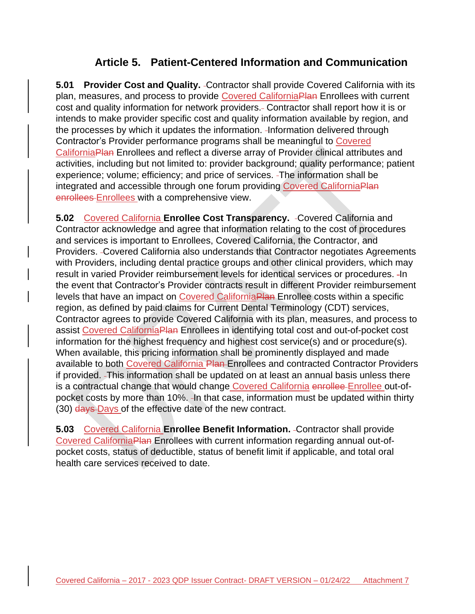## **Article 5. Patient-Centered Information and Communication**

**5.01 Provider Cost and Quality.** -Contractor shall provide Covered California with its plan, measures, and process to provide Covered CaliforniaPlan Enrollees with current cost and quality information for network providers. Contractor shall report how it is or intends to make provider specific cost and quality information available by region, and the processes by which it updates the information. -Information delivered through Contractor's Provider performance programs shall be meaningful to Covered CaliforniaPlan Enrollees and reflect a diverse array of Provider clinical attributes and activities, including but not limited to: provider background; quality performance; patient experience; volume; efficiency; and price of services. -The information shall be integrated and accessible through one forum providing Covered CaliforniaPlan enrollees Enrollees with a comprehensive view.

**5.02** Covered California **Enrollee Cost Transparency.** Covered California and Contractor acknowledge and agree that information relating to the cost of procedures and services is important to Enrollees, Covered California, the Contractor, and Providers. Covered California also understands that Contractor negotiates Agreements with Providers, including dental practice groups and other clinical providers, which may result in varied Provider reimbursement levels for identical services or procedures. - In the event that Contractor's Provider contracts result in different Provider reimbursement levels that have an impact on Covered CaliforniaPlan Enrollee costs within a specific region, as defined by paid claims for Current Dental Terminology (CDT) services, Contractor agrees to provide Covered California with its plan, measures, and process to assist Covered CaliforniaPlan Enrollees in identifying total cost and out-of-pocket cost information for the highest frequency and highest cost service(s) and or procedure(s). When available, this pricing information shall be prominently displayed and made available to both Covered California Plan-Enrollees and contracted Contractor Providers if provided. This information shall be updated on at least an annual basis unless there is a contractual change that would change Covered California enrollee Enrollee out-ofpocket costs by more than 10%. In that case, information must be updated within thirty (30) days Days of the effective date of the new contract.

**5.03** Covered California **Enrollee Benefit Information.** - Contractor shall provide Covered CaliforniaPlan Enrollees with current information regarding annual out-ofpocket costs, status of deductible, status of benefit limit if applicable, and total oral health care services received to date.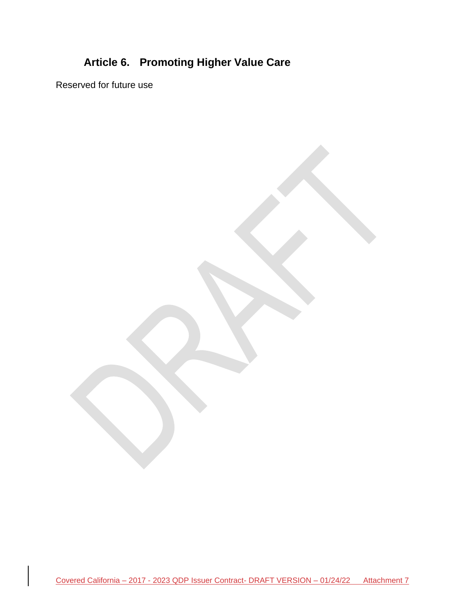# **Article 6. Promoting Higher Value Care**

Reserved for future use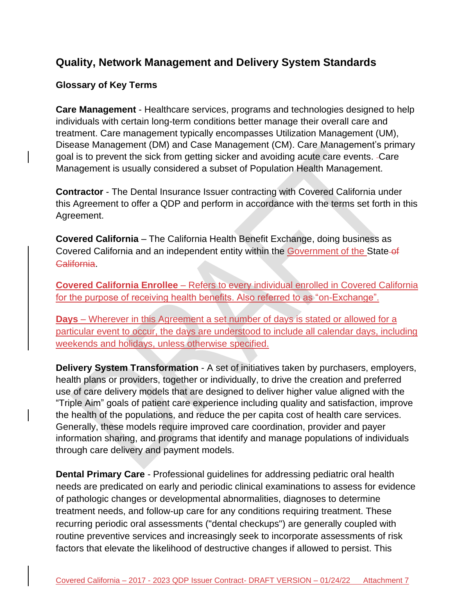## **Quality, Network Management and Delivery System Standards**

## **Glossary of Key Terms**

**Care Management** - Healthcare services, programs and technologies designed to help individuals with certain long-term conditions better manage their overall care and treatment. Care management typically encompasses Utilization Management (UM), Disease Management (DM) and Case Management (CM). Care Management's primary goal is to prevent the sick from getting sicker and avoiding acute care events. Care Management is usually considered a subset of Population Health Management.

**Contractor** - The Dental Insurance Issuer contracting with Covered California under this Agreement to offer a QDP and perform in accordance with the terms set forth in this Agreement.

**Covered California** – The California Health Benefit Exchange, doing business as Covered California and an independent entity within the Government of the State-of **California** 

**Covered California Enrollee** – Refers to every individual enrolled in Covered California for the purpose of receiving health benefits. Also referred to as "on-Exchange".

**Days** – Wherever in this Agreement a set number of days is stated or allowed for a particular event to occur, the days are understood to include all calendar days, including weekends and holidays, unless otherwise specified.

**Delivery System Transformation** - A set of initiatives taken by purchasers, employers, health plans or providers, together or individually, to drive the creation and preferred use of care delivery models that are designed to deliver higher value aligned with the "Triple Aim" goals of patient care experience including quality and satisfaction, improve the health of the populations, and reduce the per capita cost of health care services. Generally, these models require improved care coordination, provider and payer information sharing, and programs that identify and manage populations of individuals through care delivery and payment models.

**Dental Primary Care** - Professional guidelines for addressing pediatric oral health needs are predicated on early and periodic clinical examinations to assess for evidence of pathologic changes or developmental abnormalities, diagnoses to determine treatment needs, and follow-up care for any conditions requiring treatment. These recurring periodic oral assessments ("dental checkups") are generally coupled with routine preventive services and increasingly seek to incorporate assessments of risk factors that elevate the likelihood of destructive changes if allowed to persist. This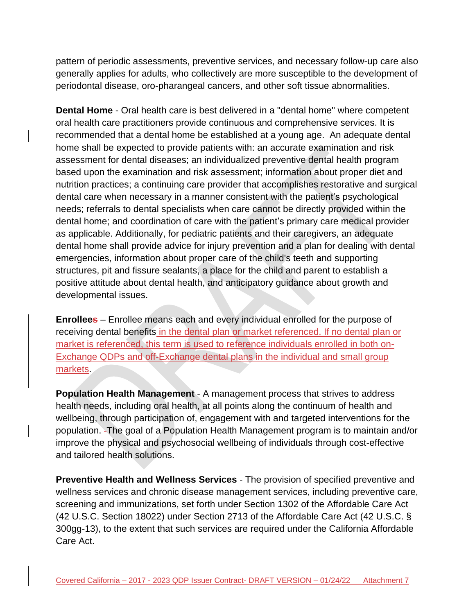pattern of periodic assessments, preventive services, and necessary follow-up care also generally applies for adults, who collectively are more susceptible to the development of periodontal disease, oro-pharangeal cancers, and other soft tissue abnormalities.

**Dental Home** - Oral health care is best delivered in a "dental home" where competent oral health care practitioners provide continuous and comprehensive services. It is recommended that a dental home be established at a young age. - An adequate dental home shall be expected to provide patients with: an accurate examination and risk assessment for dental diseases; an individualized preventive dental health program based upon the examination and risk assessment; information about proper diet and nutrition practices; a continuing care provider that accomplishes restorative and surgical dental care when necessary in a manner consistent with the patient's psychological needs; referrals to dental specialists when care cannot be directly provided within the dental home; and coordination of care with the patient's primary care medical provider as applicable. Additionally, for pediatric patients and their caregivers, an adequate dental home shall provide advice for injury prevention and a plan for dealing with dental emergencies, information about proper care of the child's teeth and supporting structures, pit and fissure sealants, a place for the child and parent to establish a positive attitude about dental health, and anticipatory guidance about growth and developmental issues.

**Enrollees** – Enrollee means each and every individual enrolled for the purpose of receiving dental benefits in the dental plan or market referenced. If no dental plan or market is referenced, this term is used to reference individuals enrolled in both on-Exchange QDPs and off-Exchange dental plans in the individual and small group markets.

**Population Health Management** - A management process that strives to address health needs, including oral health, at all points along the continuum of health and wellbeing, through participation of, engagement with and targeted interventions for the population. The goal of a Population Health Management program is to maintain and/or improve the physical and psychosocial wellbeing of individuals through cost-effective and tailored health solutions.

**Preventive Health and Wellness Services** - The provision of specified preventive and wellness services and chronic disease management services, including preventive care, screening and immunizations, set forth under Section 1302 of the Affordable Care Act (42 U.S.C. Section 18022) under Section 2713 of the Affordable Care Act (42 U.S.C. § 300gg-13), to the extent that such services are required under the California Affordable Care Act.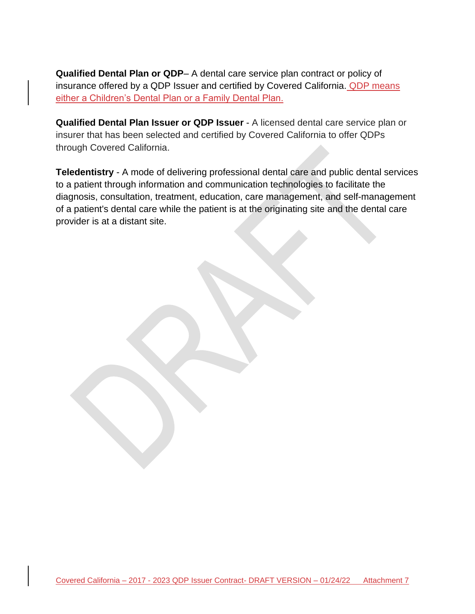**Qualified Dental Plan or QDP**– A dental care service plan contract or policy of insurance offered by a QDP Issuer and certified by Covered California. QDP means either a Children's Dental Plan or a Family Dental Plan.

**Qualified Dental Plan Issuer or QDP Issuer** - A licensed dental care service plan or insurer that has been selected and certified by Covered California to offer QDPs through Covered California.

**Teledentistry** - A mode of delivering professional dental care and public dental services to a patient through information and communication technologies to facilitate the diagnosis, consultation, treatment, education, care management, and self-management of a patient's dental care while the patient is at the originating site and the dental care provider is at a distant site.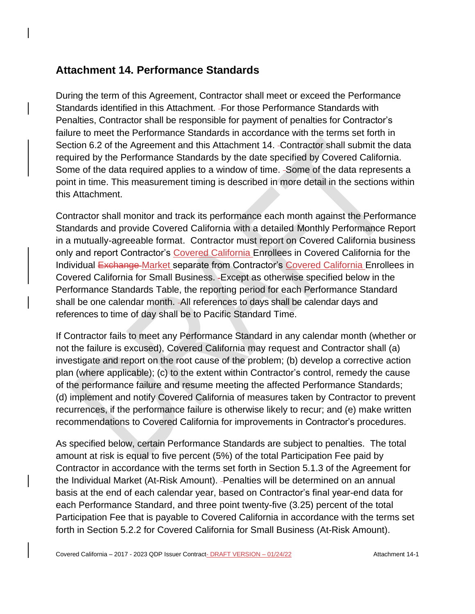## **Attachment 14. Performance Standards**

During the term of this Agreement, Contractor shall meet or exceed the Performance Standards identified in this Attachment. For those Performance Standards with Penalties, Contractor shall be responsible for payment of penalties for Contractor's failure to meet the Performance Standards in accordance with the terms set forth in Section 6.2 of the Agreement and this Attachment 14. - Contractor shall submit the data required by the Performance Standards by the date specified by Covered California. Some of the data required applies to a window of time. Some of the data represents a point in time. This measurement timing is described in more detail in the sections within this Attachment.

Contractor shall monitor and track its performance each month against the Performance Standards and provide Covered California with a detailed Monthly Performance Report in a mutually-agreeable format. Contractor must report on Covered California business only and report Contractor's Covered California Enrollees in Covered California for the Individual Exchange Market separate from Contractor's Covered California Enrollees in Covered California for Small Business. Except as otherwise specified below in the Performance Standards Table, the reporting period for each Performance Standard shall be one calendar month. All references to days shall be calendar days and references to time of day shall be to Pacific Standard Time.

If Contractor fails to meet any Performance Standard in any calendar month (whether or not the failure is excused), Covered California may request and Contractor shall (a) investigate and report on the root cause of the problem; (b) develop a corrective action plan (where applicable); (c) to the extent within Contractor's control, remedy the cause of the performance failure and resume meeting the affected Performance Standards; (d) implement and notify Covered California of measures taken by Contractor to prevent recurrences, if the performance failure is otherwise likely to recur; and (e) make written recommendations to Covered California for improvements in Contractor's procedures.

As specified below, certain Performance Standards are subject to penalties. The total amount at risk is equal to five percent (5%) of the total Participation Fee paid by Contractor in accordance with the terms set forth in Section 5.1.3 of the Agreement for the Individual Market (At-Risk Amount). -Penalties will be determined on an annual basis at the end of each calendar year, based on Contractor's final year-end data for each Performance Standard, and three point twenty-five (3.25) percent of the total Participation Fee that is payable to Covered California in accordance with the terms set forth in Section 5.2.2 for Covered California for Small Business (At-Risk Amount).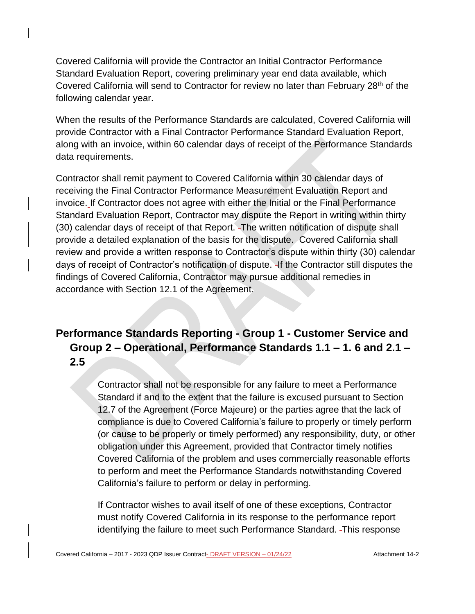Covered California will provide the Contractor an Initial Contractor Performance Standard Evaluation Report, covering preliminary year end data available, which Covered California will send to Contractor for review no later than February 28<sup>th</sup> of the following calendar year.

When the results of the Performance Standards are calculated, Covered California will provide Contractor with a Final Contractor Performance Standard Evaluation Report, along with an invoice, within 60 calendar days of receipt of the Performance Standards data requirements.

Contractor shall remit payment to Covered California within 30 calendar days of receiving the Final Contractor Performance Measurement Evaluation Report and invoice. If Contractor does not agree with either the Initial or the Final Performance Standard Evaluation Report, Contractor may dispute the Report in writing within thirty (30) calendar days of receipt of that Report. The written notification of dispute shall provide a detailed explanation of the basis for the dispute. Covered California shall review and provide a written response to Contractor's dispute within thirty (30) calendar days of receipt of Contractor's notification of dispute. If the Contractor still disputes the findings of Covered California, Contractor may pursue additional remedies in accordance with Section 12.1 of the Agreement.

# **Performance Standards Reporting - Group 1 - Customer Service and Group 2 – Operational, Performance Standards 1.1 – 1. 6 and 2.1 – 2.5**

Contractor shall not be responsible for any failure to meet a Performance Standard if and to the extent that the failure is excused pursuant to Section 12.7 of the Agreement (Force Majeure) or the parties agree that the lack of compliance is due to Covered California's failure to properly or timely perform (or cause to be properly or timely performed) any responsibility, duty, or other obligation under this Agreement, provided that Contractor timely notifies Covered California of the problem and uses commercially reasonable efforts to perform and meet the Performance Standards notwithstanding Covered California's failure to perform or delay in performing.

If Contractor wishes to avail itself of one of these exceptions, Contractor must notify Covered California in its response to the performance report identifying the failure to meet such Performance Standard. This response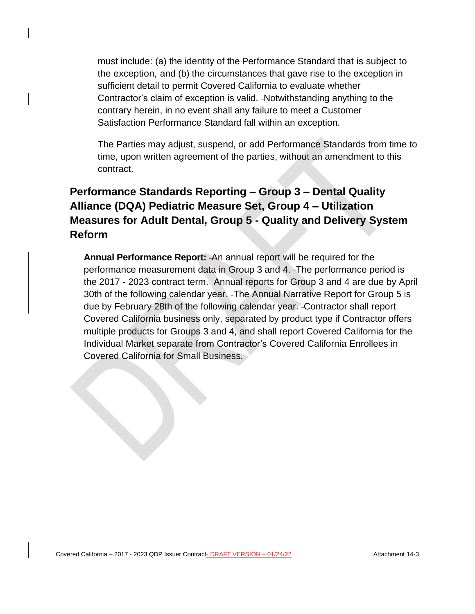must include: (a) the identity of the Performance Standard that is subject to the exception, and (b) the circumstances that gave rise to the exception in sufficient detail to permit Covered California to evaluate whether Contractor's claim of exception is valid. -Notwithstanding anything to the contrary herein, in no event shall any failure to meet a Customer Satisfaction Performance Standard fall within an exception.

The Parties may adjust, suspend, or add Performance Standards from time to time, upon written agreement of the parties, without an amendment to this contract.

# **Performance Standards Reporting – Group 3 – Dental Quality Alliance (DQA) Pediatric Measure Set, Group 4 – Utilization Measures for Adult Dental, Group 5 - Quality and Delivery System Reform**

**Annual Performance Report:** An annual report will be required for the performance measurement data in Group 3 and 4. The performance period is the 2017 - 2023 contract term. Annual reports for Group 3 and 4 are due by April 30th of the following calendar year. The Annual Narrative Report for Group 5 is due by February 28th of the following calendar year. Contractor shall report Covered California business only, separated by product type if Contractor offers multiple products for Groups 3 and 4, and shall report Covered California for the Individual Market separate from Contractor's Covered California Enrollees in Covered California for Small Business.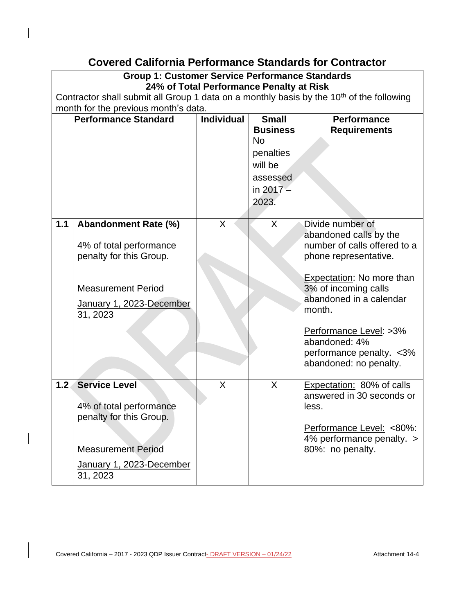## **Covered California Performance Standards for Contractor**

### **Group 1: Customer Service Performance Standards 24% of Total Performance Penalty at Risk**

Contractor shall submit all Group 1 data on a monthly basis by the  $10<sup>th</sup>$  of the following month for the previous month's data.

|                  | <b>Performance Standard</b>                                                                                                                     | <b>Individual</b> | <b>Small</b><br><b>Business</b><br><b>No</b><br>penalties<br>will be<br>assessed<br>in $2017 -$<br>2023. | <b>Performance</b><br><b>Requirements</b>                                                                                                    |
|------------------|-------------------------------------------------------------------------------------------------------------------------------------------------|-------------------|----------------------------------------------------------------------------------------------------------|----------------------------------------------------------------------------------------------------------------------------------------------|
| 1.1              | <b>Abandonment Rate (%)</b><br>4% of total performance<br>penalty for this Group.                                                               | X                 | X                                                                                                        | Divide number of<br>abandoned calls by the<br>number of calls offered to a<br>phone representative.                                          |
|                  | <b>Measurement Period</b><br>January 1, 2023-December<br>31, 2023                                                                               |                   |                                                                                                          | <b>Expectation: No more than</b><br>3% of incoming calls<br>abandoned in a calendar<br>month.                                                |
|                  |                                                                                                                                                 |                   |                                                                                                          | Performance Level: >3%<br>abandoned: 4%<br>performance penalty. < 3%<br>abandoned: no penalty.                                               |
| 1.2 <sub>1</sub> | <b>Service Level</b><br>4% of total performance<br>penalty for this Group.<br><b>Measurement Period</b><br>January 1, 2023-December<br>31, 2023 | X                 | $\mathsf{X}$                                                                                             | Expectation: 80% of calls<br>answered in 30 seconds or<br>less.<br>Performance Level: <80%:<br>4% performance penalty. ><br>80%: no penalty. |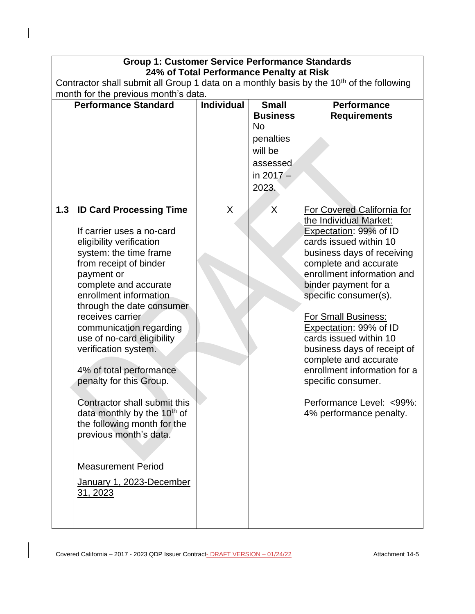| <b>Group 1: Customer Service Performance Standards</b>                                                                                                                                                                                                                                                                                                                                                                                                                                                                                                                                                               |                                          |                                       |                                                                                                                                                                                                                                                                                                                                                                                                                                                                                                       |  |  |  |
|----------------------------------------------------------------------------------------------------------------------------------------------------------------------------------------------------------------------------------------------------------------------------------------------------------------------------------------------------------------------------------------------------------------------------------------------------------------------------------------------------------------------------------------------------------------------------------------------------------------------|------------------------------------------|---------------------------------------|-------------------------------------------------------------------------------------------------------------------------------------------------------------------------------------------------------------------------------------------------------------------------------------------------------------------------------------------------------------------------------------------------------------------------------------------------------------------------------------------------------|--|--|--|
|                                                                                                                                                                                                                                                                                                                                                                                                                                                                                                                                                                                                                      | 24% of Total Performance Penalty at Risk |                                       |                                                                                                                                                                                                                                                                                                                                                                                                                                                                                                       |  |  |  |
| Contractor shall submit all Group 1 data on a monthly basis by the 10 <sup>th</sup> of the following                                                                                                                                                                                                                                                                                                                                                                                                                                                                                                                 |                                          |                                       |                                                                                                                                                                                                                                                                                                                                                                                                                                                                                                       |  |  |  |
| month for the previous month's data.                                                                                                                                                                                                                                                                                                                                                                                                                                                                                                                                                                                 |                                          |                                       |                                                                                                                                                                                                                                                                                                                                                                                                                                                                                                       |  |  |  |
| <b>Performance Standard</b>                                                                                                                                                                                                                                                                                                                                                                                                                                                                                                                                                                                          | <b>Individual</b>                        | <b>Small</b><br><b>Business</b><br>No | <b>Performance</b><br><b>Requirements</b>                                                                                                                                                                                                                                                                                                                                                                                                                                                             |  |  |  |
|                                                                                                                                                                                                                                                                                                                                                                                                                                                                                                                                                                                                                      |                                          | penalties<br>will be                  |                                                                                                                                                                                                                                                                                                                                                                                                                                                                                                       |  |  |  |
|                                                                                                                                                                                                                                                                                                                                                                                                                                                                                                                                                                                                                      |                                          | assessed                              |                                                                                                                                                                                                                                                                                                                                                                                                                                                                                                       |  |  |  |
|                                                                                                                                                                                                                                                                                                                                                                                                                                                                                                                                                                                                                      |                                          | in $2017 -$                           |                                                                                                                                                                                                                                                                                                                                                                                                                                                                                                       |  |  |  |
|                                                                                                                                                                                                                                                                                                                                                                                                                                                                                                                                                                                                                      |                                          | 2023.                                 |                                                                                                                                                                                                                                                                                                                                                                                                                                                                                                       |  |  |  |
|                                                                                                                                                                                                                                                                                                                                                                                                                                                                                                                                                                                                                      |                                          |                                       |                                                                                                                                                                                                                                                                                                                                                                                                                                                                                                       |  |  |  |
| <b>ID Card Processing Time</b><br>1.3<br>If carrier uses a no-card<br>eligibility verification<br>system: the time frame<br>from receipt of binder<br>payment or<br>complete and accurate<br>enrollment information<br>through the date consumer<br>receives carrier<br>communication regarding<br>use of no-card eligibility<br>verification system.<br>4% of total performance<br>penalty for this Group.<br>Contractor shall submit this<br>data monthly by the 10 <sup>th</sup> of<br>the following month for the<br>previous month's data.<br><b>Measurement Period</b><br>January 1, 2023-December<br>31, 2023 | X                                        | $\mathsf{X}$                          | For Covered California for<br>the Individual Market:<br>Expectation: 99% of ID<br>cards issued within 10<br>business days of receiving<br>complete and accurate<br>enrollment information and<br>binder payment for a<br>specific consumer(s).<br><b>For Small Business:</b><br>Expectation: 99% of ID<br>cards issued within 10<br>business days of receipt of<br>complete and accurate<br>enrollment information for a<br>specific consumer.<br>Performance Level: <99%:<br>4% performance penalty. |  |  |  |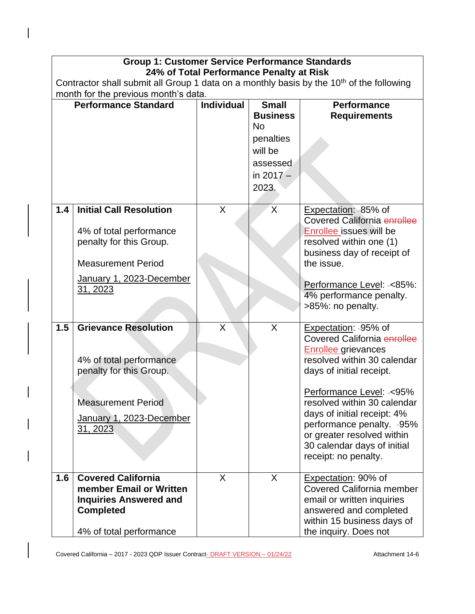|     | <b>Group 1: Customer Service Performance Standards</b>                                                                                                        |                   |                                                                                                          |                                                                                                                                                                                                                                                                                                                                                           |  |  |  |
|-----|---------------------------------------------------------------------------------------------------------------------------------------------------------------|-------------------|----------------------------------------------------------------------------------------------------------|-----------------------------------------------------------------------------------------------------------------------------------------------------------------------------------------------------------------------------------------------------------------------------------------------------------------------------------------------------------|--|--|--|
|     | 24% of Total Performance Penalty at Risk<br>Contractor shall submit all Group 1 data on a monthly basis by the 10 <sup>th</sup> of the following              |                   |                                                                                                          |                                                                                                                                                                                                                                                                                                                                                           |  |  |  |
|     | month for the previous month's data.                                                                                                                          |                   |                                                                                                          |                                                                                                                                                                                                                                                                                                                                                           |  |  |  |
|     | <b>Performance Standard</b>                                                                                                                                   | <b>Individual</b> | <b>Small</b><br><b>Business</b><br><b>No</b><br>penalties<br>will be<br>assessed<br>in $2017 -$<br>2023. | <b>Performance</b><br><b>Requirements</b>                                                                                                                                                                                                                                                                                                                 |  |  |  |
| 1.4 | <b>Initial Call Resolution</b><br>4% of total performance<br>penalty for this Group.<br><b>Measurement Period</b><br>January 1, 2023-December<br>31, 2023     | $\sf X$           | $\sf X$                                                                                                  | Expectation: -85% of<br>Covered California enrollee<br>Enrollee issues will be<br>resolved within one (1)<br>business day of receipt of<br>the issue.<br>Performance Level: -< 85%:<br>4% performance penalty.<br>>85%: no penalty.                                                                                                                       |  |  |  |
| 1.5 | <b>Grievance Resolution</b><br>4% of total performance<br>penalty for this Group.<br><b>Measurement Period</b><br>January 1, 2023-December<br><u>31, 2023</u> | X                 | $\sf X$                                                                                                  | Expectation: -95% of<br>Covered California enrollee<br><b>Enrollee</b> grievances<br>resolved within 30 calendar<br>days of initial receipt.<br>Performance Level: -< 95%<br>resolved within 30 calendar<br>days of initial receipt: 4%<br>performance penalty. -95%<br>or greater resolved within<br>30 calendar days of initial<br>receipt: no penalty. |  |  |  |
| 1.6 | <b>Covered California</b><br>member Email or Written<br><b>Inquiries Answered and</b><br><b>Completed</b><br>4% of total performance                          | X                 | X                                                                                                        | Expectation: 90% of<br><b>Covered California member</b><br>email or written inquiries<br>answered and completed<br>within 15 business days of<br>the inquiry. Does not                                                                                                                                                                                    |  |  |  |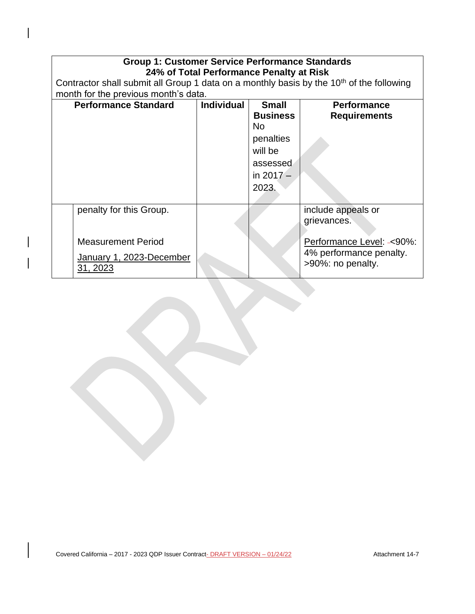| <b>Group 1: Customer Service Performance Standards</b><br>24% of Total Performance Penalty at Risk   |                                      |                                                                                                    |                                                       |  |  |  |
|------------------------------------------------------------------------------------------------------|--------------------------------------|----------------------------------------------------------------------------------------------------|-------------------------------------------------------|--|--|--|
| Contractor shall submit all Group 1 data on a monthly basis by the 10 <sup>th</sup> of the following |                                      |                                                                                                    |                                                       |  |  |  |
|                                                                                                      | month for the previous month's data. |                                                                                                    |                                                       |  |  |  |
| <b>Performance Standard</b>                                                                          | <b>Individual</b>                    | <b>Small</b><br><b>Business</b><br>No.<br>penalties<br>will be<br>assessed<br>in $2017 -$<br>2023. | <b>Performance</b><br><b>Requirements</b>             |  |  |  |
| penalty for this Group.                                                                              |                                      |                                                                                                    | include appeals or<br>grievances.                     |  |  |  |
| <b>Measurement Period</b>                                                                            |                                      |                                                                                                    | Performance Level: -< 90%:<br>4% performance penalty. |  |  |  |
| January 1, 2023-December<br>31, 2023                                                                 |                                      |                                                                                                    | >90%: no penalty.                                     |  |  |  |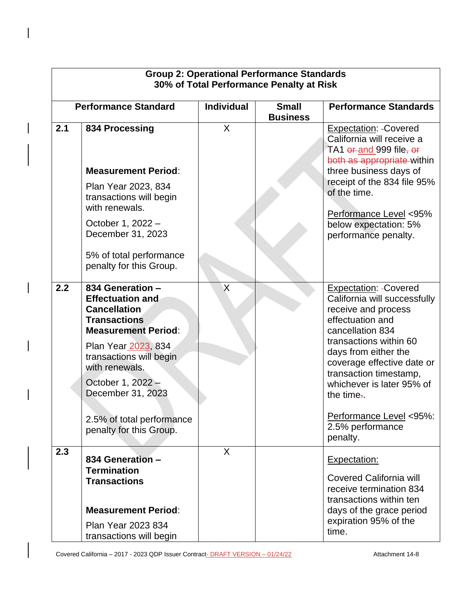|     | <b>Group 2: Operational Performance Standards</b><br>30% of Total Performance Penalty at Risk                                                                                                                                                                                                 |                   |  |                                                                                                                                                                                                                                                                                                                                 |  |  |
|-----|-----------------------------------------------------------------------------------------------------------------------------------------------------------------------------------------------------------------------------------------------------------------------------------------------|-------------------|--|---------------------------------------------------------------------------------------------------------------------------------------------------------------------------------------------------------------------------------------------------------------------------------------------------------------------------------|--|--|
|     | <b>Performance Standard</b>                                                                                                                                                                                                                                                                   | <b>Individual</b> |  | <b>Performance Standards</b>                                                                                                                                                                                                                                                                                                    |  |  |
| 2.1 | 834 Processing<br><b>Measurement Period:</b><br>Plan Year 2023, 834<br>transactions will begin<br>with renewals.                                                                                                                                                                              | X                 |  | <b>Expectation: - Covered</b><br>California will receive a<br>TA1 or and 999 file, or<br>both as appropriate within<br>three business days of<br>receipt of the 834 file 95%<br>of the time.<br>Performance Level <95%                                                                                                          |  |  |
|     | October 1, 2022 -<br>December 31, 2023<br>5% of total performance<br>penalty for this Group.                                                                                                                                                                                                  |                   |  | below expectation: 5%<br>performance penalty.                                                                                                                                                                                                                                                                                   |  |  |
| 2.2 | 834 Generation -<br><b>Effectuation and</b><br><b>Cancellation</b><br><b>Transactions</b><br><b>Measurement Period:</b><br>Plan Year 2023, 834<br>transactions will begin<br>with renewals.<br>October 1, 2022 -<br>December 31, 2023<br>2.5% of total performance<br>penalty for this Group. | $\sf X$           |  | <b>Expectation: - Covered</b><br>California will successfully<br>receive and process<br>effectuation and<br>cancellation 834<br>transactions within 60<br>days from either the<br>coverage effective date or<br>transaction timestamp,<br>whichever is later 95% of<br>the time.<br>Performance Level <95%:<br>2.5% performance |  |  |
| 2.3 |                                                                                                                                                                                                                                                                                               | $\mathsf{X}$      |  | penalty.                                                                                                                                                                                                                                                                                                                        |  |  |
|     | 834 Generation -<br><b>Termination</b><br><b>Transactions</b><br><b>Measurement Period:</b><br>Plan Year 2023 834<br>transactions will begin                                                                                                                                                  |                   |  | <b>Expectation:</b><br><b>Covered California will</b><br>receive termination 834<br>transactions within ten<br>days of the grace period<br>expiration 95% of the<br>time.                                                                                                                                                       |  |  |

Covered California – 2017 - 2023 QDP Issuer Contract-**DRAFT VERSION – 01/24/22** Attachment 14-8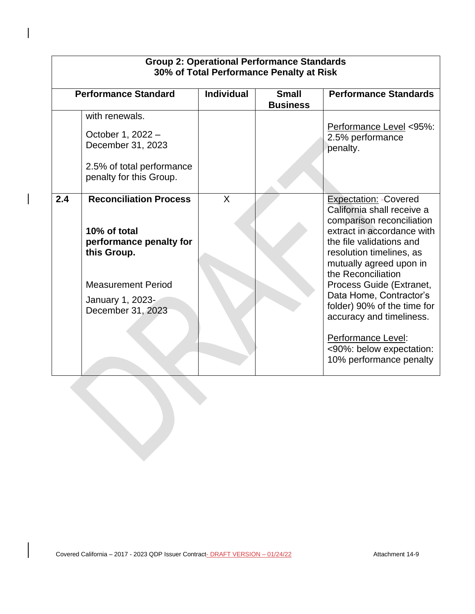| <b>Performance Standard</b>                                                                                                                                          | <b>Individual</b> | <b>Small</b><br><b>Business</b> | <b>Performance Standards</b>                                                                                                                                                                                                                                                                                                                                                                                                   |
|----------------------------------------------------------------------------------------------------------------------------------------------------------------------|-------------------|---------------------------------|--------------------------------------------------------------------------------------------------------------------------------------------------------------------------------------------------------------------------------------------------------------------------------------------------------------------------------------------------------------------------------------------------------------------------------|
| with renewals.<br>October 1, 2022 -<br>December 31, 2023<br>2.5% of total performance<br>penalty for this Group.                                                     |                   |                                 | Performance Level <95%:<br>2.5% performance<br>penalty.                                                                                                                                                                                                                                                                                                                                                                        |
| 2.4<br><b>Reconciliation Process</b><br>10% of total<br>performance penalty for<br>this Group.<br><b>Measurement Period</b><br>January 1, 2023-<br>December 31, 2023 | X                 |                                 | <b>Expectation: - Covered</b><br>California shall receive a<br>comparison reconciliation<br>extract in accordance with<br>the file validations and<br>resolution timelines, as<br>mutually agreed upon in<br>the Reconciliation<br>Process Guide (Extranet,<br>Data Home, Contractor's<br>folder) 90% of the time for<br>accuracy and timeliness.<br>Performance Level:<br><90%: below expectation:<br>10% performance penalty |

# **Group 2: Operational Performance Standards**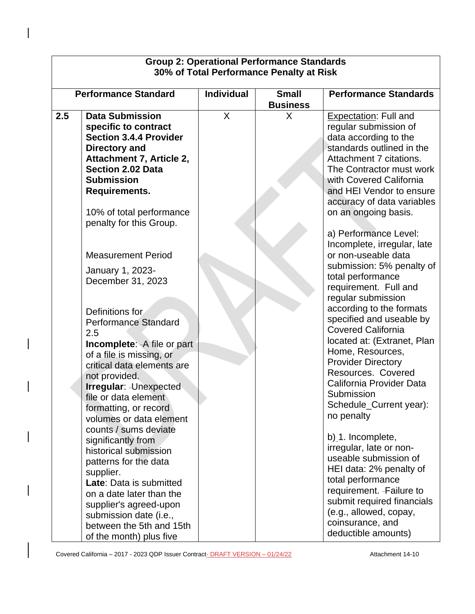|     | <b>Group 2: Operational Performance Standards</b><br>30% of Total Performance Penalty at Risk                                                                                                                                                                                                                                                                                                                                                                                                                                                                                                           |                                                      |   |                                                                                                                                                                                                                                                                                                                                                                                                                                                                                                                                                                                                         |  |  |
|-----|---------------------------------------------------------------------------------------------------------------------------------------------------------------------------------------------------------------------------------------------------------------------------------------------------------------------------------------------------------------------------------------------------------------------------------------------------------------------------------------------------------------------------------------------------------------------------------------------------------|------------------------------------------------------|---|---------------------------------------------------------------------------------------------------------------------------------------------------------------------------------------------------------------------------------------------------------------------------------------------------------------------------------------------------------------------------------------------------------------------------------------------------------------------------------------------------------------------------------------------------------------------------------------------------------|--|--|
|     | <b>Performance Standard</b>                                                                                                                                                                                                                                                                                                                                                                                                                                                                                                                                                                             | <b>Individual</b><br><b>Small</b><br><b>Business</b> |   | <b>Performance Standards</b>                                                                                                                                                                                                                                                                                                                                                                                                                                                                                                                                                                            |  |  |
| 2.5 | <b>Data Submission</b><br>specific to contract<br><b>Section 3.4.4 Provider</b><br>Directory and<br>Attachment 7, Article 2,<br><b>Section 2.02 Data</b><br><b>Submission</b><br>Requirements.<br>10% of total performance<br>penalty for this Group.<br><b>Measurement Period</b>                                                                                                                                                                                                                                                                                                                      | X                                                    | X | <b>Expectation: Full and</b><br>regular submission of<br>data according to the<br>standards outlined in the<br>Attachment 7 citations.<br>The Contractor must work<br>with Covered California<br>and HEI Vendor to ensure<br>accuracy of data variables<br>on an ongoing basis.<br>a) Performance Level:<br>Incomplete, irregular, late<br>or non-useable data<br>submission: 5% penalty of                                                                                                                                                                                                             |  |  |
|     | January 1, 2023-<br>December 31, 2023<br>Definitions for<br><b>Performance Standard</b><br>2.5<br><b>Incomplete: - A file or part</b><br>of a file is missing, or<br>critical data elements are<br>not provided.<br>Irregular: - Unexpected<br>file or data element<br>formatting, or record<br>volumes or data element<br>counts / sums deviate<br>significantly from<br>historical submission<br>patterns for the data<br>supplier.<br>Late: Data is submitted<br>on a date later than the<br>supplier's agreed-upon<br>submission date (i.e.,<br>between the 5th and 15th<br>of the month) plus five |                                                      |   | total performance<br>requirement. Full and<br>regular submission<br>according to the formats<br>specified and useable by<br><b>Covered California</b><br>located at: (Extranet, Plan<br>Home, Resources,<br><b>Provider Directory</b><br>Resources. Covered<br>California Provider Data<br>Submission<br>Schedule_Current year):<br>no penalty<br>b)_1. Incomplete,<br>irregular, late or non-<br>useable submission of<br>HEI data: 2% penalty of<br>total performance<br>requirement. - Failure to<br>submit required financials<br>(e.g., allowed, copay,<br>coinsurance, and<br>deductible amounts) |  |  |

Г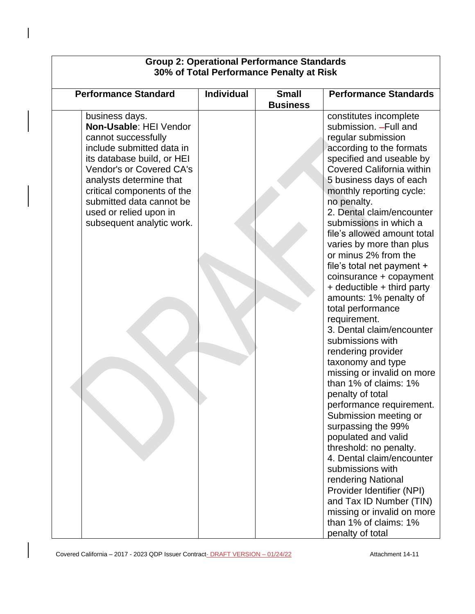| <b>Group 2: Operational Performance Standards</b><br>30% of Total Performance Penalty at Risk                                                                                                                                                                                                             |                                      |  |                                                                                                                                                                                                                                                                                                                                                                                                                                                                                                                                                                                                                                                                                                                                                                                                                                                                                                                                                                                                                                                       |  |  |
|-----------------------------------------------------------------------------------------------------------------------------------------------------------------------------------------------------------------------------------------------------------------------------------------------------------|--------------------------------------|--|-------------------------------------------------------------------------------------------------------------------------------------------------------------------------------------------------------------------------------------------------------------------------------------------------------------------------------------------------------------------------------------------------------------------------------------------------------------------------------------------------------------------------------------------------------------------------------------------------------------------------------------------------------------------------------------------------------------------------------------------------------------------------------------------------------------------------------------------------------------------------------------------------------------------------------------------------------------------------------------------------------------------------------------------------------|--|--|
| <b>Performance Standard</b>                                                                                                                                                                                                                                                                               | <b>Individual</b><br><b>Business</b> |  | <b>Performance Standards</b>                                                                                                                                                                                                                                                                                                                                                                                                                                                                                                                                                                                                                                                                                                                                                                                                                                                                                                                                                                                                                          |  |  |
| business days.<br>Non-Usable: HEI Vendor<br>cannot successfully<br>include submitted data in<br>its database build, or HEI<br><b>Vendor's or Covered CA's</b><br>analysts determine that<br>critical components of the<br>submitted data cannot be<br>used or relied upon in<br>subsequent analytic work. |                                      |  | constitutes incomplete<br>submission. - Full and<br>regular submission<br>according to the formats<br>specified and useable by<br><b>Covered California within</b><br>5 business days of each<br>monthly reporting cycle:<br>no penalty.<br>2. Dental claim/encounter<br>submissions in which a<br>file's allowed amount total<br>varies by more than plus<br>or minus 2% from the<br>file's total net payment +<br>coinsurance + copayment<br>+ deductible + third party<br>amounts: 1% penalty of<br>total performance<br>requirement.<br>3. Dental claim/encounter<br>submissions with<br>rendering provider<br>taxonomy and type<br>missing or invalid on more<br>than 1% of claims: 1%<br>penalty of total<br>performance requirement.<br>Submission meeting or<br>surpassing the 99%<br>populated and valid<br>threshold: no penalty.<br>4. Dental claim/encounter<br>submissions with<br>rendering National<br>Provider Identifier (NPI)<br>and Tax ID Number (TIN)<br>missing or invalid on more<br>than 1% of claims: 1%<br>penalty of total |  |  |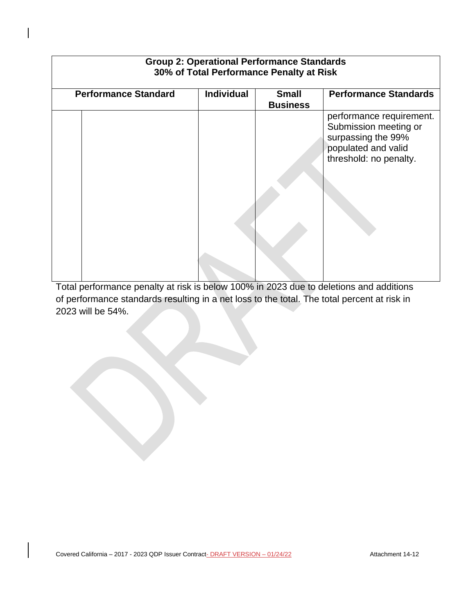| <b>Performance Standard</b> | <b>Individual</b> | <b>Small</b><br><b>Business</b> | <b>Performance Standards</b>                                                                                             |
|-----------------------------|-------------------|---------------------------------|--------------------------------------------------------------------------------------------------------------------------|
|                             |                   |                                 | performance requirement.<br>Submission meeting or<br>surpassing the 99%<br>populated and valid<br>threshold: no penalty. |
|                             |                   |                                 |                                                                                                                          |

Total performance penalty at risk is below 100% in 2023 due to deletions and additions of performance standards resulting in a net loss to the total. The total percent at risk in 2023 will be 54%.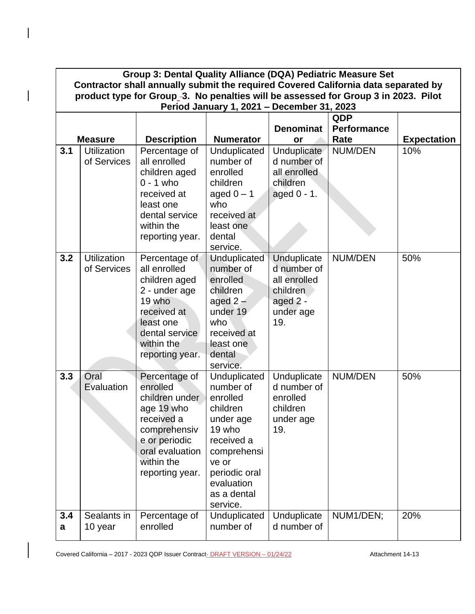|     | Group 3: Dental Quality Alliance (DQA) Pediatric Measure Set<br>Contractor shall annually submit the required Covered California data separated by |                               |                           |                            |                    |                    |  |  |
|-----|----------------------------------------------------------------------------------------------------------------------------------------------------|-------------------------------|---------------------------|----------------------------|--------------------|--------------------|--|--|
|     | product type for Group <sub>-3</sub> . No penalties will be assessed for Group 3 in 2023. Pilot                                                    |                               |                           |                            |                    |                    |  |  |
|     | Period January 1, 2021 - December 31, 2023                                                                                                         |                               |                           |                            |                    |                    |  |  |
|     |                                                                                                                                                    |                               |                           |                            | <b>QDP</b>         |                    |  |  |
|     |                                                                                                                                                    |                               |                           | <b>Denominat</b>           | <b>Performance</b> |                    |  |  |
|     | <b>Measure</b>                                                                                                                                     | <b>Description</b>            | <b>Numerator</b>          | or                         | Rate               | <b>Expectation</b> |  |  |
| 3.1 | <b>Utilization</b><br>of Services                                                                                                                  | Percentage of<br>all enrolled | Unduplicated<br>number of | Unduplicate<br>d number of | <b>NUM/DEN</b>     | 10%                |  |  |
|     |                                                                                                                                                    | children aged                 | enrolled                  | all enrolled               |                    |                    |  |  |
|     |                                                                                                                                                    | $0 - 1$ who                   | children                  | children                   |                    |                    |  |  |
|     |                                                                                                                                                    | received at                   | aged $0 - 1$              | aged 0 - 1.                |                    |                    |  |  |
|     |                                                                                                                                                    | least one                     | who                       |                            |                    |                    |  |  |
|     |                                                                                                                                                    | dental service                | received at               |                            |                    |                    |  |  |
|     |                                                                                                                                                    | within the                    | least one                 |                            |                    |                    |  |  |
|     |                                                                                                                                                    | reporting year.               | dental                    |                            |                    |                    |  |  |
|     |                                                                                                                                                    |                               | service.                  |                            |                    |                    |  |  |
| 3.2 | <b>Utilization</b>                                                                                                                                 | Percentage of                 | <b>Unduplicated</b>       | Unduplicate                | <b>NUM/DEN</b>     | 50%                |  |  |
|     | of Services                                                                                                                                        | all enrolled                  | number of                 | d number of                |                    |                    |  |  |
|     |                                                                                                                                                    | children aged                 | enrolled                  | all enrolled               |                    |                    |  |  |
|     |                                                                                                                                                    | 2 - under age<br>19 who       | children<br>aged $2-$     | children                   |                    |                    |  |  |
|     |                                                                                                                                                    | received at                   | under 19                  | aged 2 -<br>under age      |                    |                    |  |  |
|     |                                                                                                                                                    | least one                     | who                       | 19.                        |                    |                    |  |  |
|     |                                                                                                                                                    | dental service                | received at               |                            |                    |                    |  |  |
|     |                                                                                                                                                    | within the                    | least one                 |                            |                    |                    |  |  |
|     |                                                                                                                                                    | reporting year.               | dental                    |                            |                    |                    |  |  |
|     |                                                                                                                                                    |                               | service.                  |                            |                    |                    |  |  |
| 3.3 | Oral                                                                                                                                               | Percentage of                 | Unduplicated              | Unduplicate                | <b>NUM/DEN</b>     | 50%                |  |  |
|     | Evaluation                                                                                                                                         | enrolled                      | number of                 | d number of                |                    |                    |  |  |
|     |                                                                                                                                                    | children under                | enrolled                  | enrolled                   |                    |                    |  |  |
|     |                                                                                                                                                    | age 19 who<br>received a      | children<br>under age     | children                   |                    |                    |  |  |
|     |                                                                                                                                                    | comprehensiv                  | 19 who                    | under age<br>19.           |                    |                    |  |  |
|     |                                                                                                                                                    | e or periodic                 | received a                |                            |                    |                    |  |  |
|     |                                                                                                                                                    | oral evaluation               | comprehensi               |                            |                    |                    |  |  |
|     |                                                                                                                                                    | within the                    | ve or                     |                            |                    |                    |  |  |
|     |                                                                                                                                                    | reporting year.               | periodic oral             |                            |                    |                    |  |  |
|     |                                                                                                                                                    |                               | evaluation                |                            |                    |                    |  |  |
|     |                                                                                                                                                    |                               | as a dental               |                            |                    |                    |  |  |
|     |                                                                                                                                                    |                               | service.                  |                            |                    |                    |  |  |
| 3.4 | Sealants in                                                                                                                                        | Percentage of<br>enrolled     | Unduplicated<br>number of | Unduplicate<br>d number of | NUM1/DEN;          | 20%                |  |  |
| a   | 10 year                                                                                                                                            |                               |                           |                            |                    |                    |  |  |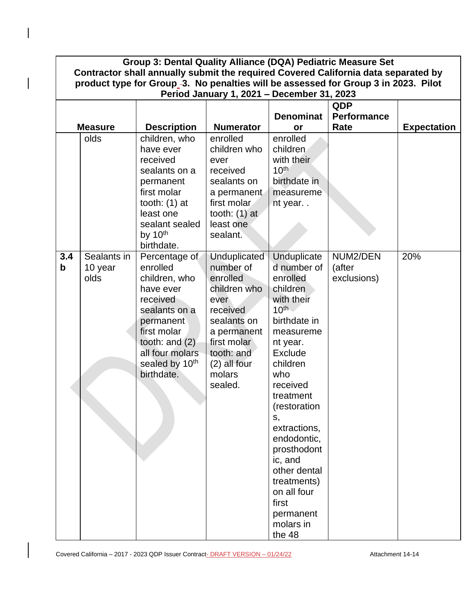| Group 3: Dental Quality Alliance (DQA) Pediatric Measure Set<br>Contractor shall annually submit the required Covered California data separated by<br>product type for Group <sub>-3</sub> . No penalties will be assessed for Group 3 in 2023. Pilot |                                            |                                                                                                                                                                                                     |                                                                                                                                                                                    |                                                                                                                                                                                                                                                                                                                                                         |                                   |                    |  |  |
|-------------------------------------------------------------------------------------------------------------------------------------------------------------------------------------------------------------------------------------------------------|--------------------------------------------|-----------------------------------------------------------------------------------------------------------------------------------------------------------------------------------------------------|------------------------------------------------------------------------------------------------------------------------------------------------------------------------------------|---------------------------------------------------------------------------------------------------------------------------------------------------------------------------------------------------------------------------------------------------------------------------------------------------------------------------------------------------------|-----------------------------------|--------------------|--|--|
|                                                                                                                                                                                                                                                       | Period January 1, 2021 - December 31, 2023 |                                                                                                                                                                                                     |                                                                                                                                                                                    |                                                                                                                                                                                                                                                                                                                                                         |                                   |                    |  |  |
|                                                                                                                                                                                                                                                       | <b>QDP</b>                                 |                                                                                                                                                                                                     |                                                                                                                                                                                    |                                                                                                                                                                                                                                                                                                                                                         |                                   |                    |  |  |
|                                                                                                                                                                                                                                                       |                                            |                                                                                                                                                                                                     |                                                                                                                                                                                    | <b>Denominat</b>                                                                                                                                                                                                                                                                                                                                        | <b>Performance</b>                |                    |  |  |
|                                                                                                                                                                                                                                                       | <b>Measure</b>                             | <b>Description</b>                                                                                                                                                                                  | <b>Numerator</b>                                                                                                                                                                   | <b>or</b>                                                                                                                                                                                                                                                                                                                                               | Rate                              | <b>Expectation</b> |  |  |
|                                                                                                                                                                                                                                                       | olds                                       | children, who<br>have ever<br>received<br>sealants on a<br>permanent<br>first molar<br>tooth: $(1)$ at<br>least one<br>sealant sealed<br>by 10 <sup>th</sup><br>birthdate.                          | enrolled<br>children who<br>ever<br>received<br>sealants on<br>a permanent<br>first molar.<br>tooth: $(1)$ at<br>least one<br>sealant.                                             | enrolled<br>children<br>with their<br>$10^{th}$<br>birthdate in<br>measureme<br>nt year                                                                                                                                                                                                                                                                 |                                   |                    |  |  |
| 3.4<br>$\mathbf b$                                                                                                                                                                                                                                    | Sealants in<br>10 year<br>olds             | Percentage of<br>enrolled<br>children, who<br>have ever<br>received<br>sealants on a<br>permanent<br>first molar<br>tooth: and $(2)$<br>all four molars<br>sealed by 10 <sup>th</sup><br>birthdate. | <b>Unduplicated</b><br>number of<br>enrolled<br>children who<br>ever<br>received<br>sealants on<br>a permanent<br>first molar<br>tooth: and<br>$(2)$ all four<br>molars<br>sealed. | Unduplicate<br>d number of<br>enrolled<br>children<br>with their<br>$10^{th}$<br>birthdate in<br>measureme<br>nt year.<br>Exclude<br>children<br>who<br>received<br>treatment<br>(restoration<br>S,<br>extractions,<br>endodontic,<br>prosthodont<br>ic, and<br>other dental<br>treatments)<br>on all four<br>first<br>permanent<br>molars in<br>the 48 | NUM2/DEN<br>(after<br>exclusions) | 20%                |  |  |

 $\begin{array}{c} \hline \end{array}$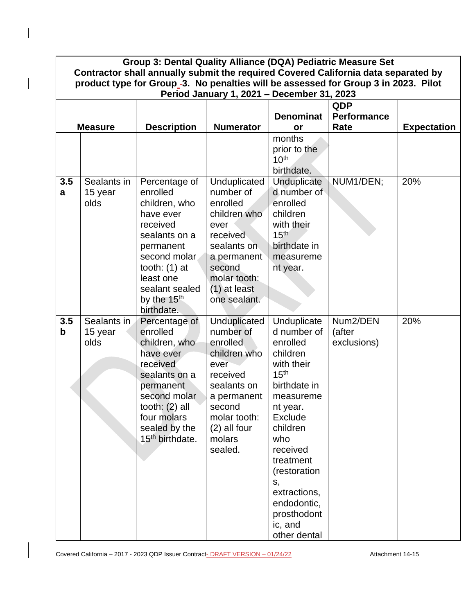|                    | Group 3: Dental Quality Alliance (DQA) Pediatric Measure Set<br>Contractor shall annually submit the required Covered California data separated by |                                                                                                                                                                                                              |                                                                                                                                                                          |                                                                                                                                                                                                                                                                                            |                                   |                    |  |  |
|--------------------|----------------------------------------------------------------------------------------------------------------------------------------------------|--------------------------------------------------------------------------------------------------------------------------------------------------------------------------------------------------------------|--------------------------------------------------------------------------------------------------------------------------------------------------------------------------|--------------------------------------------------------------------------------------------------------------------------------------------------------------------------------------------------------------------------------------------------------------------------------------------|-----------------------------------|--------------------|--|--|
|                    | product type for Group_-3. No penalties will be assessed for Group 3 in 2023. Pilot<br>Period January 1, 2021 - December 31, 2023                  |                                                                                                                                                                                                              |                                                                                                                                                                          |                                                                                                                                                                                                                                                                                            |                                   |                    |  |  |
|                    | QDP                                                                                                                                                |                                                                                                                                                                                                              |                                                                                                                                                                          |                                                                                                                                                                                                                                                                                            |                                   |                    |  |  |
|                    | <b>Measure</b>                                                                                                                                     | <b>Description</b>                                                                                                                                                                                           | <b>Numerator</b>                                                                                                                                                         | <b>Denominat</b><br>or                                                                                                                                                                                                                                                                     | <b>Performance</b><br>Rate        | <b>Expectation</b> |  |  |
|                    |                                                                                                                                                    |                                                                                                                                                                                                              |                                                                                                                                                                          | months<br>prior to the<br>10 <sup>th</sup><br>birthdate.                                                                                                                                                                                                                                   |                                   |                    |  |  |
| 3.5<br>a           | Sealants in<br>15 year<br>olds                                                                                                                     | Percentage of<br>enrolled<br>children, who<br>have ever<br>received<br>sealants on a<br>permanent<br>second molar<br>tooth: $(1)$ at<br>least one<br>sealant sealed<br>by the 15 <sup>th</sup><br>birthdate. | Unduplicated<br>number of<br>enrolled<br>children who<br>ever<br>received<br>sealants on<br>a permanent<br>second<br>molar tooth:<br>$(1)$ at least<br>one sealant.      | <b>Unduplicate</b><br>d number of<br>enrolled<br>children<br>with their<br>15 <sup>th</sup><br>birthdate in<br>measureme<br>nt year.                                                                                                                                                       | NUM1/DEN;                         | 20%                |  |  |
| 3.5<br>$\mathbf b$ | Sealants in<br>15 year<br>olds                                                                                                                     | Percentage of<br>enrolled<br>children, who<br>have ever<br>received<br>sealants on a<br>permanent<br>second molar<br>tooth: $(2)$ all<br>four molars<br>sealed by the<br>15 <sup>th</sup> birthdate.         | Unduplicated<br>number of<br>enrolled<br>children who<br>ever<br>received<br>sealants on<br>a permanent<br>second<br>molar tooth:<br>$(2)$ all four<br>molars<br>sealed. | Unduplicate<br>d number of<br>enrolled<br>children<br>with their<br>15 <sup>th</sup><br>birthdate in<br>measureme<br>nt year.<br><b>Exclude</b><br>children<br>who<br>received<br>treatment<br>(restoration<br>S,<br>extractions,<br>endodontic,<br>prosthodont<br>ic, and<br>other dental | Num2/DEN<br>(after<br>exclusions) | 20%                |  |  |

Covered California – 2017 - 2023 QDP Issuer Contract-**DRAFT VERSION – 01/24/22** Attachment 14-15

 $\overline{\phantom{a}}$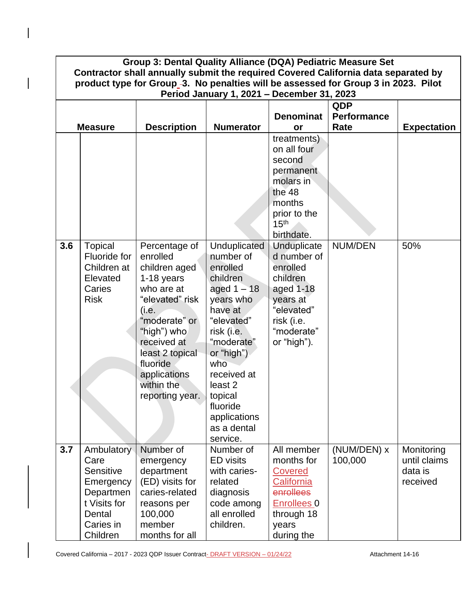| Group 3: Dental Quality Alliance (DQA) Pediatric Measure Set                                                                                                                          |                                                                                                                     |                                                                                                                                                                                                                                   |                                                                                                                                                                                                                                                                  |                                                                                                                                      |                        |                                                   |
|---------------------------------------------------------------------------------------------------------------------------------------------------------------------------------------|---------------------------------------------------------------------------------------------------------------------|-----------------------------------------------------------------------------------------------------------------------------------------------------------------------------------------------------------------------------------|------------------------------------------------------------------------------------------------------------------------------------------------------------------------------------------------------------------------------------------------------------------|--------------------------------------------------------------------------------------------------------------------------------------|------------------------|---------------------------------------------------|
| Contractor shall annually submit the required Covered California data separated by<br>product type for Group <sub>-3</sub> . No penalties will be assessed for Group 3 in 2023. Pilot |                                                                                                                     |                                                                                                                                                                                                                                   |                                                                                                                                                                                                                                                                  |                                                                                                                                      |                        |                                                   |
| Period January 1, 2021 - December 31, 2023                                                                                                                                            |                                                                                                                     |                                                                                                                                                                                                                                   |                                                                                                                                                                                                                                                                  |                                                                                                                                      |                        |                                                   |
|                                                                                                                                                                                       |                                                                                                                     |                                                                                                                                                                                                                                   |                                                                                                                                                                                                                                                                  |                                                                                                                                      | QDP                    |                                                   |
|                                                                                                                                                                                       |                                                                                                                     |                                                                                                                                                                                                                                   |                                                                                                                                                                                                                                                                  | <b>Denominat</b>                                                                                                                     | <b>Performance</b>     |                                                   |
|                                                                                                                                                                                       | <b>Measure</b>                                                                                                      | <b>Description</b>                                                                                                                                                                                                                | <b>Numerator</b>                                                                                                                                                                                                                                                 | or                                                                                                                                   | Rate                   | <b>Expectation</b>                                |
|                                                                                                                                                                                       |                                                                                                                     |                                                                                                                                                                                                                                   |                                                                                                                                                                                                                                                                  | treatments)<br>on all four<br>second<br>permanent<br>molars in<br>the 48<br>months<br>prior to the<br>15 <sup>th</sup>               |                        |                                                   |
|                                                                                                                                                                                       |                                                                                                                     |                                                                                                                                                                                                                                   |                                                                                                                                                                                                                                                                  | birthdate.                                                                                                                           |                        |                                                   |
| 3.6                                                                                                                                                                                   | <b>Topical</b><br>Fluoride for<br>Children at<br>Elevated<br>Caries<br><b>Risk</b>                                  | Percentage of<br>enrolled<br>children aged<br>1-18 years<br>who are at<br>"elevated" risk<br>(i.e.<br>"moderate" or<br>"high") who<br>received at<br>least 2 topical<br>fluoride<br>applications<br>within the<br>reporting year. | Unduplicated<br>number of<br>enrolled<br>children<br>aged $1 - 18$<br>years who<br>have at<br>"elevated"<br>risk (i.e.<br>"moderate"<br>or "high")<br>who<br>received at<br>least <sub>2</sub><br>topical<br>fluoride<br>applications<br>as a dental<br>service. | Unduplicate<br>d number of<br>enrolled<br>children<br>aged 1-18<br>years at<br>"elevated"<br>risk (i.e.<br>"moderate"<br>or "high"). | <b>NUM/DEN</b>         | 50%                                               |
| 3.7                                                                                                                                                                                   | Ambulatory<br>Care<br><b>Sensitive</b><br>Emergency<br>Departmen<br>t Visits for<br>Dental<br>Caries in<br>Children | Number of<br>emergency<br>department<br>(ED) visits for<br>caries-related<br>reasons per<br>100,000<br>member<br>months for all                                                                                                   | Number of<br><b>ED</b> visits<br>with caries-<br>related<br>diagnosis<br>code among<br>all enrolled<br>children.                                                                                                                                                 | All member<br>months for<br><b>Covered</b><br>California<br>enrollees<br><b>Enrollees 0</b><br>through 18<br>years<br>during the     | (NUM/DEN) x<br>100,000 | Monitoring<br>until claims<br>data is<br>received |

Covered California – 2017 - 2023 QDP Issuer Contract-**DRAFT VERSION – 01/24/22** Attachment 14-16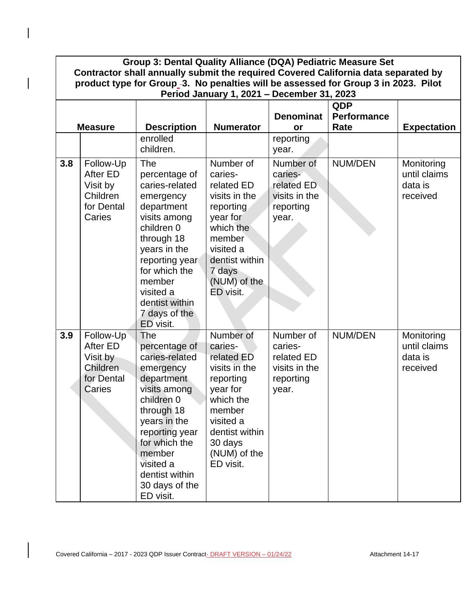| Group 3: Dental Quality Alliance (DQA) Pediatric Measure Set<br>Contractor shall annually submit the required Covered California data separated by<br>product type for Group <sub>-3</sub> . No penalties will be assessed for Group 3 in 2023. Pilot<br>Period January 1, 2021 - December 31, 2023 |                                                                              |                                                                                                                                                                                                                                                |                                                                                                                                                                            |                                                                           |                                   |                                                   |
|-----------------------------------------------------------------------------------------------------------------------------------------------------------------------------------------------------------------------------------------------------------------------------------------------------|------------------------------------------------------------------------------|------------------------------------------------------------------------------------------------------------------------------------------------------------------------------------------------------------------------------------------------|----------------------------------------------------------------------------------------------------------------------------------------------------------------------------|---------------------------------------------------------------------------|-----------------------------------|---------------------------------------------------|
|                                                                                                                                                                                                                                                                                                     | <b>Measure</b>                                                               | <b>Description</b>                                                                                                                                                                                                                             | <b>Numerator</b>                                                                                                                                                           | <b>Denominat</b><br>or                                                    | QDP<br><b>Performance</b><br>Rate | <b>Expectation</b>                                |
|                                                                                                                                                                                                                                                                                                     |                                                                              | enrolled<br>children.                                                                                                                                                                                                                          |                                                                                                                                                                            | reporting<br>year.                                                        |                                   |                                                   |
| 3.8                                                                                                                                                                                                                                                                                                 | Follow-Up<br>After ED<br>Visit by<br>Children<br>for Dental<br>Caries        | <b>The</b><br>percentage of<br>caries-related<br>emergency<br>department<br>visits among<br>children 0<br>through 18<br>years in the<br>reporting year<br>for which the<br>member<br>visited a<br>dentist within<br>7 days of the<br>ED visit. | Number of<br>caries-<br>related ED<br>visits in the<br>reporting<br>year for<br>which the<br>member<br>visited a<br>dentist within<br>7 days<br>(NUM) of the<br>ED visit.  | Number of<br>caries-<br>related ED<br>visits in the<br>reporting<br>year. | NUM/DEN                           | Monitoring<br>until claims<br>data is<br>received |
| 3.9                                                                                                                                                                                                                                                                                                 | Follow-Up<br><b>After ED</b><br>Visit by<br>Children<br>for Dental<br>Caries | The<br>percentage of<br>caries-related<br>emergency<br>department<br>visits among<br>children 0<br>through 18<br>years in the<br>reporting year<br>for which the<br>member<br>visited a<br>dentist within<br>30 days of the<br>ED visit.       | Number of<br>caries-<br>related ED<br>visits in the<br>reporting<br>year for<br>which the<br>member<br>visited a<br>dentist within<br>30 days<br>(NUM) of the<br>ED visit. | Number of<br>caries-<br>related ED<br>visits in the<br>reporting<br>year. | NUM/DEN                           | Monitoring<br>until claims<br>data is<br>received |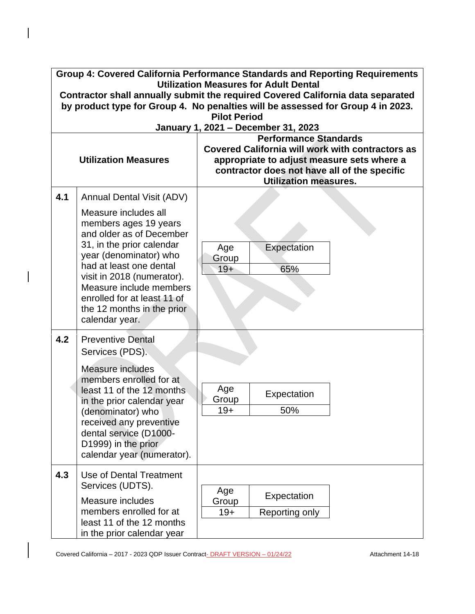|     | Group 4: Covered California Performance Standards and Reporting Requirements<br><b>Utilization Measures for Adult Dental</b>                                                                                                                                                                        |                                                                                                                                                                                                                       |  |  |  |  |
|-----|-----------------------------------------------------------------------------------------------------------------------------------------------------------------------------------------------------------------------------------------------------------------------------------------------------|-----------------------------------------------------------------------------------------------------------------------------------------------------------------------------------------------------------------------|--|--|--|--|
|     | Contractor shall annually submit the required Covered California data separated<br>by product type for Group 4. No penalties will be assessed for Group 4 in 2023.                                                                                                                                  |                                                                                                                                                                                                                       |  |  |  |  |
|     |                                                                                                                                                                                                                                                                                                     | <b>Pilot Period</b><br>January 1, 2021 - December 31, 2023                                                                                                                                                            |  |  |  |  |
|     | <b>Utilization Measures</b>                                                                                                                                                                                                                                                                         | <b>Performance Standards</b><br><b>Covered California will work with contractors as</b><br>appropriate to adjust measure sets where a<br>contractor does not have all of the specific<br><b>Utilization measures.</b> |  |  |  |  |
| 4.1 | <b>Annual Dental Visit (ADV)</b>                                                                                                                                                                                                                                                                    |                                                                                                                                                                                                                       |  |  |  |  |
|     | Measure includes all<br>members ages 19 years<br>and older as of December<br>31, in the prior calendar<br>year (denominator) who<br>had at least one dental<br>visit in 2018 (numerator).<br>Measure include members<br>enrolled for at least 11 of<br>the 12 months in the prior<br>calendar year. | Expectation<br>Age<br>Group<br>65%<br>$19+$                                                                                                                                                                           |  |  |  |  |
| 4.2 | <b>Preventive Dental</b><br>Services (PDS).                                                                                                                                                                                                                                                         |                                                                                                                                                                                                                       |  |  |  |  |
|     | Measure includes<br>members enrolled for at<br>least 11 of the 12 months<br>in the prior calendar year<br>(denominator) who<br>received any preventive<br>dental service (D1000-<br>D1999) in the prior.<br>calendar year (numerator).                                                              | Age<br>Expectation<br>Group<br>50%<br>$19+$                                                                                                                                                                           |  |  |  |  |
| 4.3 | Use of Dental Treatment<br>Services (UDTS).<br>Measure includes<br>members enrolled for at<br>least 11 of the 12 months<br>in the prior calendar year                                                                                                                                               | Age<br>Expectation<br>Group<br>Reporting only<br>$19+$                                                                                                                                                                |  |  |  |  |

 $\overline{\phantom{a}}$ 

 $\overline{\phantom{a}}$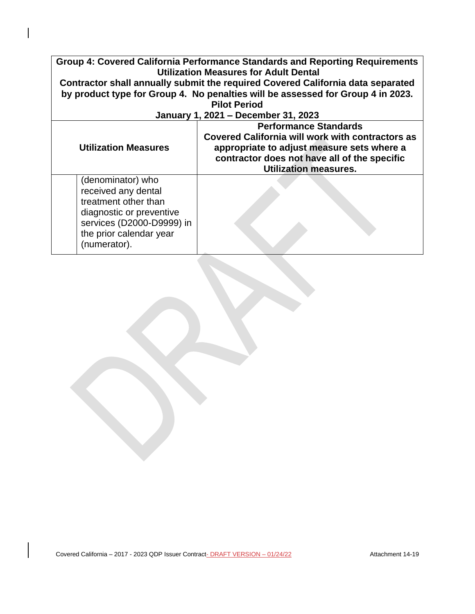| Group 4: Covered California Performance Standards and Reporting Requirements<br><b>Utilization Measures for Adult Dental</b>                                         |                                                                                                                                                                                                                       |  |  |
|----------------------------------------------------------------------------------------------------------------------------------------------------------------------|-----------------------------------------------------------------------------------------------------------------------------------------------------------------------------------------------------------------------|--|--|
|                                                                                                                                                                      | Contractor shall annually submit the required Covered California data separated                                                                                                                                       |  |  |
|                                                                                                                                                                      | by product type for Group 4. No penalties will be assessed for Group 4 in 2023.                                                                                                                                       |  |  |
|                                                                                                                                                                      | <b>Pilot Period</b>                                                                                                                                                                                                   |  |  |
|                                                                                                                                                                      | January 1, 2021 - December 31, 2023                                                                                                                                                                                   |  |  |
| <b>Utilization Measures</b>                                                                                                                                          | <b>Performance Standards</b><br><b>Covered California will work with contractors as</b><br>appropriate to adjust measure sets where a<br>contractor does not have all of the specific<br><b>Utilization measures.</b> |  |  |
| (denominator) who<br>received any dental<br>treatment other than<br>diagnostic or preventive<br>services (D2000-D9999) in<br>the prior calendar year<br>(numerator). |                                                                                                                                                                                                                       |  |  |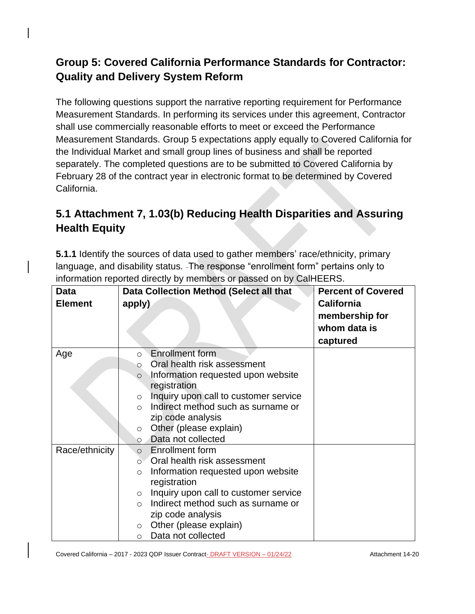# **Group 5: Covered California Performance Standards for Contractor: Quality and Delivery System Reform**

The following questions support the narrative reporting requirement for Performance Measurement Standards. In performing its services under this agreement, Contractor shall use commercially reasonable efforts to meet or exceed the Performance Measurement Standards. Group 5 expectations apply equally to Covered California for the Individual Market and small group lines of business and shall be reported separately. The completed questions are to be submitted to Covered California by February 28 of the contract year in electronic format to be determined by Covered California.

# **5.1 Attachment 7, 1.03(b) Reducing Health Disparities and Assuring Health Equity**

**5.1.1** Identify the sources of data used to gather members' race/ethnicity, primary language, and disability status. The response "enrollment form" pertains only to information reported directly by members or passed on by CalHEERS.

| <b>Data</b>    | Data Collection Method (Select all that          | <b>Percent of Covered</b> |
|----------------|--------------------------------------------------|---------------------------|
| <b>Element</b> | apply)                                           | <b>California</b>         |
|                |                                                  | membership for            |
|                |                                                  | whom data is              |
|                |                                                  | captured                  |
| Age            | <b>Enrollment form</b><br>$\circ$                |                           |
|                | Oral health risk assessment<br>$\circ$           |                           |
|                | Information requested upon website<br>$\circ$    |                           |
|                | registration                                     |                           |
|                | Inquiry upon call to customer service<br>$\circ$ |                           |
|                | Indirect method such as surname or<br>$\Omega$   |                           |
|                | zip code analysis                                |                           |
|                | Other (please explain)<br>$\circ$                |                           |
|                | Data not collected<br>$\circ$                    |                           |
| Race/ethnicity | <b>Enrollment form</b><br>$\circ$                |                           |
|                | Oral health risk assessment<br>$\circ$           |                           |
|                | Information requested upon website<br>$\circ$    |                           |
|                | registration                                     |                           |
|                | Inquiry upon call to customer service<br>$\circ$ |                           |
|                | Indirect method such as surname or<br>$\bigcirc$ |                           |
|                | zip code analysis                                |                           |
|                | Other (please explain)<br>$\circ$                |                           |
|                | Data not collected<br>$\circ$                    |                           |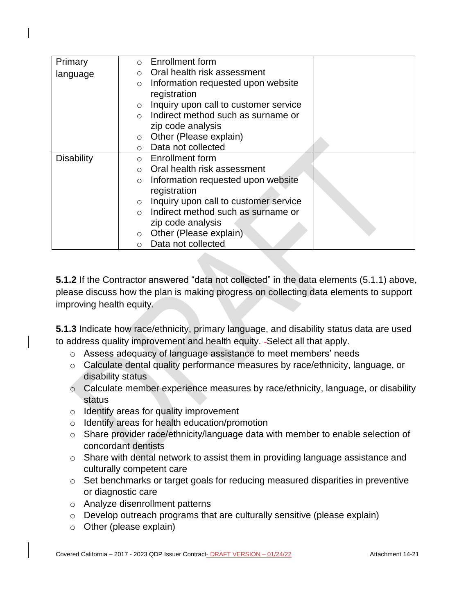| Primary           | Enrollment form<br>$\Omega$                      |
|-------------------|--------------------------------------------------|
| language          | Oral health risk assessment<br>$\circ$           |
|                   | Information requested upon website<br>$\circ$    |
|                   | registration                                     |
|                   | Inquiry upon call to customer service<br>$\circ$ |
|                   | Indirect method such as surname or               |
|                   | zip code analysis                                |
|                   | Other (Please explain)<br>$\circ$                |
|                   | Data not collected<br>$\circ$                    |
| <b>Disability</b> | Enrollment form<br>$\circ$                       |
|                   | Oral health risk assessment<br>$\Omega$          |
|                   | Information requested upon website<br>$\circ$    |
|                   | registration                                     |
|                   | Inquiry upon call to customer service<br>$\circ$ |
|                   | Indirect method such as surname or<br>$\bigcirc$ |
|                   | zip code analysis                                |
|                   | Other (Please explain)<br>$\circ$                |
|                   | Data not collected<br>$\circ$                    |

**5.1.2** If the Contractor answered "data not collected" in the data elements (5.1.1) above, please discuss how the plan is making progress on collecting data elements to support improving health equity.

**5.1.3** Indicate how race/ethnicity, primary language, and disability status data are used to address quality improvement and health equity. -Select all that apply.

- o Assess adequacy of language assistance to meet members' needs
- o Calculate dental quality performance measures by race/ethnicity, language, or disability status
- o Calculate member experience measures by race/ethnicity, language, or disability status
- o Identify areas for quality improvement
- o Identify areas for health education/promotion
- o Share provider race/ethnicity/language data with member to enable selection of concordant dentists
- o Share with dental network to assist them in providing language assistance and culturally competent care
- o Set benchmarks or target goals for reducing measured disparities in preventive or diagnostic care
- o Analyze disenrollment patterns
- o Develop outreach programs that are culturally sensitive (please explain)
- o Other (please explain)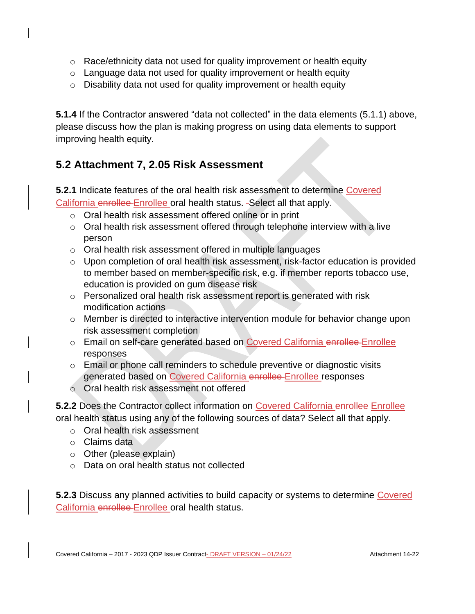- $\circ$  Race/ethnicity data not used for quality improvement or health equity
- o Language data not used for quality improvement or health equity
- $\circ$  Disability data not used for quality improvement or health equity

**5.1.4** If the Contractor answered "data not collected" in the data elements (5.1.1) above, please discuss how the plan is making progress on using data elements to support improving health equity.

## **5.2 Attachment 7, 2.05 Risk Assessment**

**5.2.1** Indicate features of the oral health risk assessment to determine Covered California enrollee Enrollee oral health status. - Select all that apply.

- o Oral health risk assessment offered online or in print
- o Oral health risk assessment offered through telephone interview with a live person
- o Oral health risk assessment offered in multiple languages
- o Upon completion of oral health risk assessment, risk-factor education is provided to member based on member-specific risk, e.g. if member reports tobacco use, education is provided on gum disease risk
- o Personalized oral health risk assessment report is generated with risk modification actions
- o Member is directed to interactive intervention module for behavior change upon risk assessment completion
- o Email on self-care generated based on Covered California enrollee Enrollee responses
- o Email or phone call reminders to schedule preventive or diagnostic visits generated based on Covered California enrollee Enrollee responses
- o Oral health risk assessment not offered

**5.2.2** Does the Contractor collect information on Covered California enrollee Enrollee oral health status using any of the following sources of data? Select all that apply.

- o Oral health risk assessment
- o Claims data
- o Other (please explain)
- o Data on oral health status not collected

**5.2.3** Discuss any planned activities to build capacity or systems to determine Covered California enrollee Enrollee oral health status.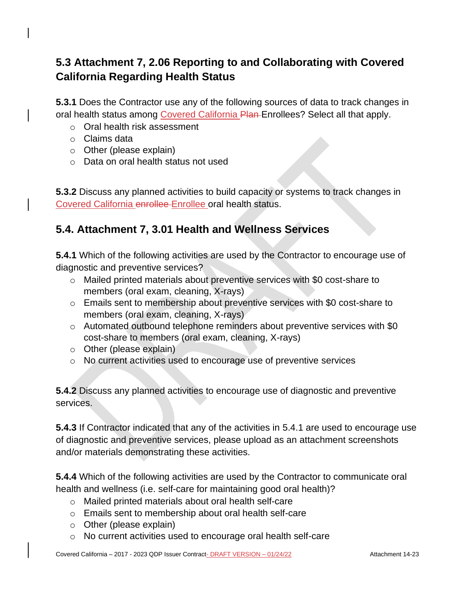# **5.3 Attachment 7, 2.06 Reporting to and Collaborating with Covered California Regarding Health Status**

**5.3.1** Does the Contractor use any of the following sources of data to track changes in oral health status among Covered California Plan-Enrollees? Select all that apply.

- o Oral health risk assessment
- o Claims data
- o Other (please explain)
- o Data on oral health status not used

**5.3.2** Discuss any planned activities to build capacity or systems to track changes in Covered California enrollee Enrollee oral health status.

## **5.4. Attachment 7, 3.01 Health and Wellness Services**

**5.4.1** Which of the following activities are used by the Contractor to encourage use of diagnostic and preventive services?

- o Mailed printed materials about preventive services with \$0 cost-share to members (oral exam, cleaning, X-rays)
- o Emails sent to membership about preventive services with \$0 cost-share to members (oral exam, cleaning, X-rays)
- o Automated outbound telephone reminders about preventive services with \$0 cost-share to members (oral exam, cleaning, X-rays)
- o Other (please explain)
- o No current activities used to encourage use of preventive services

**5.4.2** Discuss any planned activities to encourage use of diagnostic and preventive services.

**5.4.3** If Contractor indicated that any of the activities in 5.4.1 are used to encourage use of diagnostic and preventive services, please upload as an attachment screenshots and/or materials demonstrating these activities.

**5.4.4** Which of the following activities are used by the Contractor to communicate oral health and wellness (i.e. self-care for maintaining good oral health)?

- o Mailed printed materials about oral health self-care
- o Emails sent to membership about oral health self-care
- o Other (please explain)
- o No current activities used to encourage oral health self-care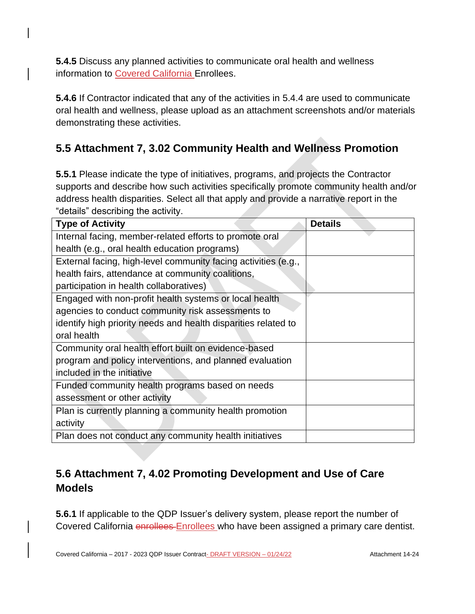**5.4.5** Discuss any planned activities to communicate oral health and wellness information to Covered California Enrollees.

**5.4.6** If Contractor indicated that any of the activities in 5.4.4 are used to communicate oral health and wellness, please upload as an attachment screenshots and/or materials demonstrating these activities.

# **5.5 Attachment 7, 3.02 Community Health and Wellness Promotion**

**5.5.1** Please indicate the type of initiatives, programs, and projects the Contractor supports and describe how such activities specifically promote community health and/or address health disparities. Select all that apply and provide a narrative report in the "details" describing the activity.

| <b>Type of Activity</b>                                        | <b>Details</b> |
|----------------------------------------------------------------|----------------|
| Internal facing, member-related efforts to promote oral        |                |
| health (e.g., oral health education programs)                  |                |
| External facing, high-level community facing activities (e.g., |                |
| health fairs, attendance at community coalitions,              |                |
| participation in health collaboratives)                        |                |
| Engaged with non-profit health systems or local health         |                |
| agencies to conduct community risk assessments to              |                |
| identify high priority needs and health disparities related to |                |
| oral health                                                    |                |
| Community oral health effort built on evidence-based           |                |
| program and policy interventions, and planned evaluation       |                |
| included in the initiative                                     |                |
| Funded community health programs based on needs                |                |
| assessment or other activity                                   |                |
| Plan is currently planning a community health promotion        |                |
| activity                                                       |                |
| Plan does not conduct any community health initiatives         |                |

# **5.6 Attachment 7, 4.02 Promoting Development and Use of Care Models**

**5.6.1** If applicable to the QDP Issuer's delivery system, please report the number of Covered California enrollees Enrollees who have been assigned a primary care dentist.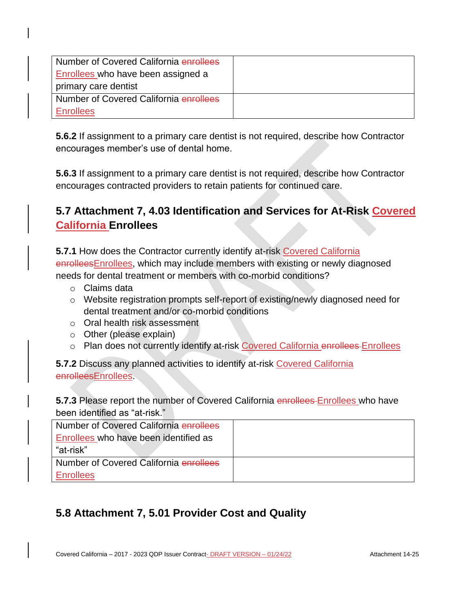| Number of Covered California enrollees |  |
|----------------------------------------|--|
| Enrollees who have been assigned a     |  |
| primary care dentist                   |  |
| Number of Covered California enrollees |  |
| <b>Enrollees</b>                       |  |

**5.6.2** If assignment to a primary care dentist is not required, describe how Contractor encourages member's use of dental home.

**5.6.3** If assignment to a primary care dentist is not required, describe how Contractor encourages contracted providers to retain patients for continued care.

# **5.7 Attachment 7, 4.03 Identification and Services for At-Risk Covered California Enrollees**

**5.7.1** How does the Contractor currently identify at-risk Covered California enrollees Enrollees, which may include members with existing or newly diagnosed needs for dental treatment or members with co-morbid conditions?

- o Claims data
- o Website registration prompts self-report of existing/newly diagnosed need for dental treatment and/or co-morbid conditions
- o Oral health risk assessment
- o Other (please explain)
- o Plan does not currently identify at-risk Covered California enrollees Enrollees

**5.7.2** Discuss any planned activities to identify at-risk Covered California enrolleesEnrollees.

## **5.7.3** Please report the number of Covered California enrollees Enrollees who have been identified as "at-risk."

| Number of Covered California enrollees |  |
|----------------------------------------|--|
| Enrollees who have been identified as  |  |
| "at-risk"                              |  |
| Number of Covered California enrollees |  |
| <b>Enrollees</b>                       |  |

# **5.8 Attachment 7, 5.01 Provider Cost and Quality**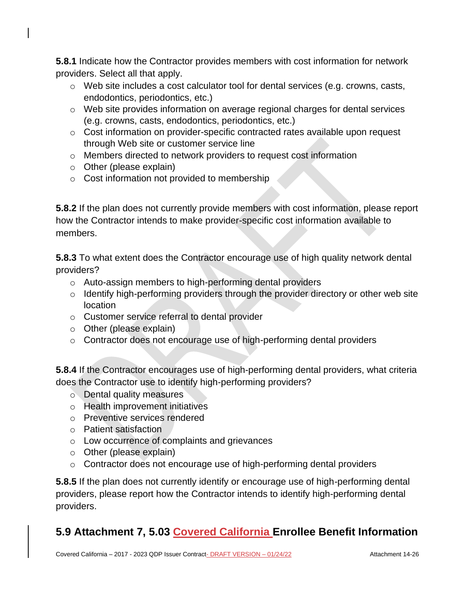**5.8.1** Indicate how the Contractor provides members with cost information for network providers. Select all that apply.

- o Web site includes a cost calculator tool for dental services (e.g. crowns, casts, endodontics, periodontics, etc.)
- o Web site provides information on average regional charges for dental services (e.g. crowns, casts, endodontics, periodontics, etc.)
- o Cost information on provider-specific contracted rates available upon request through Web site or customer service line
- o Members directed to network providers to request cost information
- $\circ$  Other (please explain)
- o Cost information not provided to membership

**5.8.2** If the plan does not currently provide members with cost information, please report how the Contractor intends to make provider-specific cost information available to members.

**5.8.3** To what extent does the Contractor encourage use of high quality network dental providers?

- o Auto-assign members to high-performing dental providers
- o Identify high-performing providers through the provider directory or other web site location
- o Customer service referral to dental provider
- o Other (please explain)
- o Contractor does not encourage use of high-performing dental providers

**5.8.4** If the Contractor encourages use of high-performing dental providers, what criteria does the Contractor use to identify high-performing providers?

- o Dental quality measures
- o Health improvement initiatives
- o Preventive services rendered
- o Patient satisfaction
- o Low occurrence of complaints and grievances
- o Other (please explain)
- o Contractor does not encourage use of high-performing dental providers

**5.8.5** If the plan does not currently identify or encourage use of high-performing dental providers, please report how the Contractor intends to identify high-performing dental providers.

# **5.9 Attachment 7, 5.03 Covered California Enrollee Benefit Information**